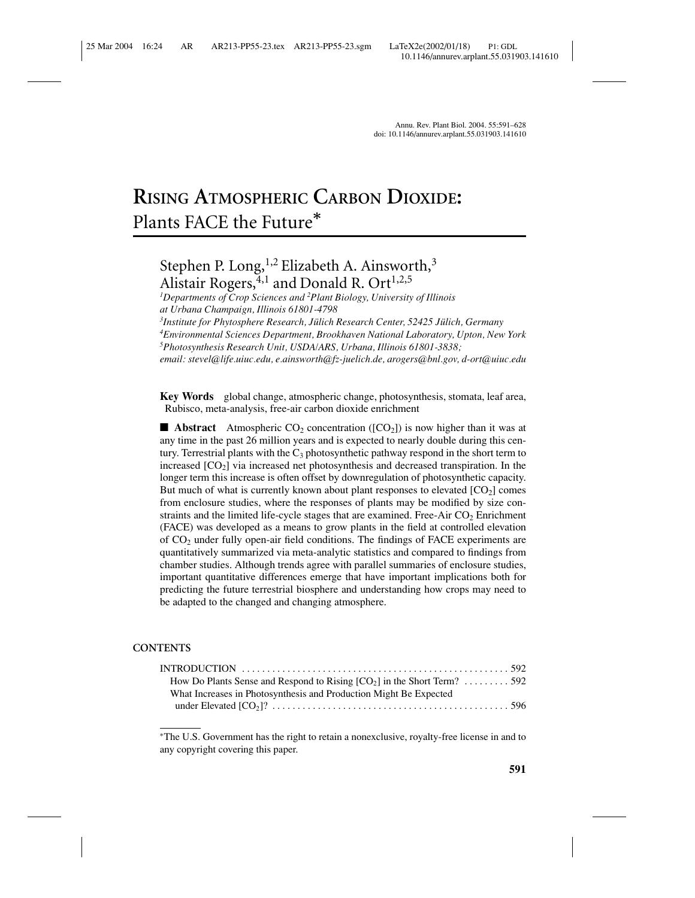# **RISING ATMOSPHERIC CARBON DIOXIDE:** Plants FACE the Future*<sup>∗</sup>*

# Stephen P. Long,<sup>1,2</sup> Elizabeth A. Ainsworth,<sup>3</sup> Alistair Rogers,  $4,1$  and Donald R. Ort<sup>1,2,5</sup>

*1 Departments of Crop Sciences and <sup>2</sup> Plant Biology, University of Illinois at Urbana Champaign, Illinois 61801-4798*

<sup>3</sup> Institute for Phytosphere Research, Jülich Research Center, 52425 Jülich, Germany

*4 Environmental Sciences Department, Brookhaven National Laboratory, Upton, New York 5 Photosynthesis Research Unit, USDA/ARS, Urbana, Illinois 61801-3838;*

*email: stevel@life.uiuc.edu, e.ainsworth@fz-juelich.de, arogers@bnl.gov, d-ort@uiuc.edu*

**Key Words** global change, atmospheric change, photosynthesis, stomata, leaf area, Rubisco, meta-analysis, free-air carbon dioxide enrichment

**■ Abstract** Atmospheric  $CO_2$  concentration ( $[CO_2]$ ) is now higher than it was at any time in the past 26 million years and is expected to nearly double during this century. Terrestrial plants with the  $C_3$  photosynthetic pathway respond in the short term to increased  $[CO<sub>2</sub>]$  via increased net photosynthesis and decreased transpiration. In the longer term this increase is often offset by downregulation of photosynthetic capacity. But much of what is currently known about plant responses to elevated  $[CO<sub>2</sub>]$  comes from enclosure studies, where the responses of plants may be modified by size constraints and the limited life-cycle stages that are examined. Free-Air  $CO<sub>2</sub>$  Enrichment (FACE) was developed as a means to grow plants in the field at controlled elevation of CO2 under fully open-air field conditions. The findings of FACE experiments are quantitatively summarized via meta-analytic statistics and compared to findings from chamber studies. Although trends agree with parallel summaries of enclosure studies, important quantitative differences emerge that have important implications both for predicting the future terrestrial biosphere and understanding how crops may need to be adapted to the changed and changing atmosphere.

#### **CONTENTS**

| How Do Plants Sense and Respond to Rising $[CO_2]$ in the Short Term?  592 |  |
|----------------------------------------------------------------------------|--|
| What Increases in Photosynthesis and Production Might Be Expected          |  |
|                                                                            |  |

<sup>∗</sup>The U.S. Government has the right to retain a nonexclusive, royalty-free license in and to any copyright covering this paper.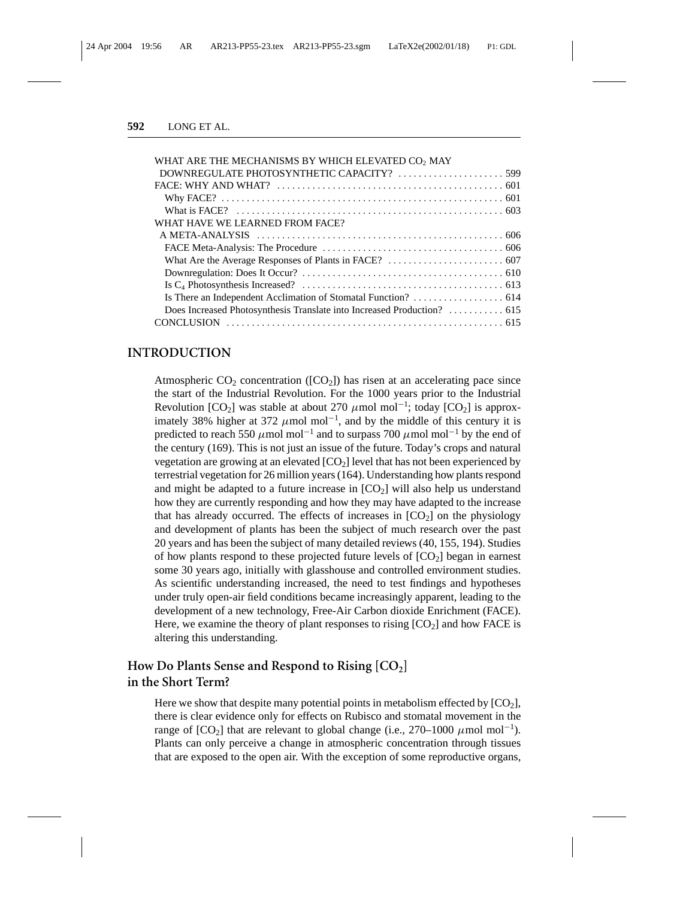| WHAT ARE THE MECHANISMS BY WHICH ELEVATED CO <sub>2</sub> MAY |  |
|---------------------------------------------------------------|--|
| DOWNREGULATE PHOTOSYNTHETIC CAPACITY?  599                    |  |
|                                                               |  |
|                                                               |  |
|                                                               |  |
| WHAT HAVE WE LEARNED FROM FACE?                               |  |
|                                                               |  |
|                                                               |  |
|                                                               |  |
|                                                               |  |
|                                                               |  |
|                                                               |  |
|                                                               |  |
|                                                               |  |
|                                                               |  |

#### **INTRODUCTION**

Atmospheric  $CO_2$  concentration ( $[CO_2]$ ) has risen at an accelerating pace since the start of the Industrial Revolution. For the 1000 years prior to the Industrial Revolution [CO<sub>2</sub>] was stable at about 270  $\mu$ mol mol<sup>-1</sup>; today [CO<sub>2</sub>] is approximately 38% higher at 372  $\mu$ mol mol<sup>-1</sup>, and by the middle of this century it is predicted to reach 550  $\mu$ mol mol<sup>-1</sup> and to surpass 700  $\mu$ mol mol<sup>-1</sup> by the end of the century (169). This is not just an issue of the future. Today's crops and natural vegetation are growing at an elevated [CO<sub>2</sub>] level that has not been experienced by terrestrial vegetation for 26 million years (164). Understanding how plants respond and might be adapted to a future increase in  $[CO<sub>2</sub>]$  will also help us understand how they are currently responding and how they may have adapted to the increase that has already occurred. The effects of increases in  $[CO<sub>2</sub>]$  on the physiology and development of plants has been the subject of much research over the past 20 years and has been the subject of many detailed reviews (40, 155, 194). Studies of how plants respond to these projected future levels of  $[CO<sub>2</sub>]$  began in earnest some 30 years ago, initially with glasshouse and controlled environment studies. As scientific understanding increased, the need to test findings and hypotheses under truly open-air field conditions became increasingly apparent, leading to the development of a new technology, Free-Air Carbon dioxide Enrichment (FACE). Here, we examine the theory of plant responses to rising  $[CO<sub>2</sub>]$  and how FACE is altering this understanding.

# How Do Plants Sense and Respond to Rising [CO<sub>2</sub>] **in the Short Term?**

Here we show that despite many potential points in metabolism effected by  $[CO<sub>2</sub>]$ , there is clear evidence only for effects on Rubisco and stomatal movement in the range of  $[CO_2]$  that are relevant to global change (i.e., 270–1000  $\mu$ mol mol<sup>-1</sup>). Plants can only perceive a change in atmospheric concentration through tissues that are exposed to the open air. With the exception of some reproductive organs,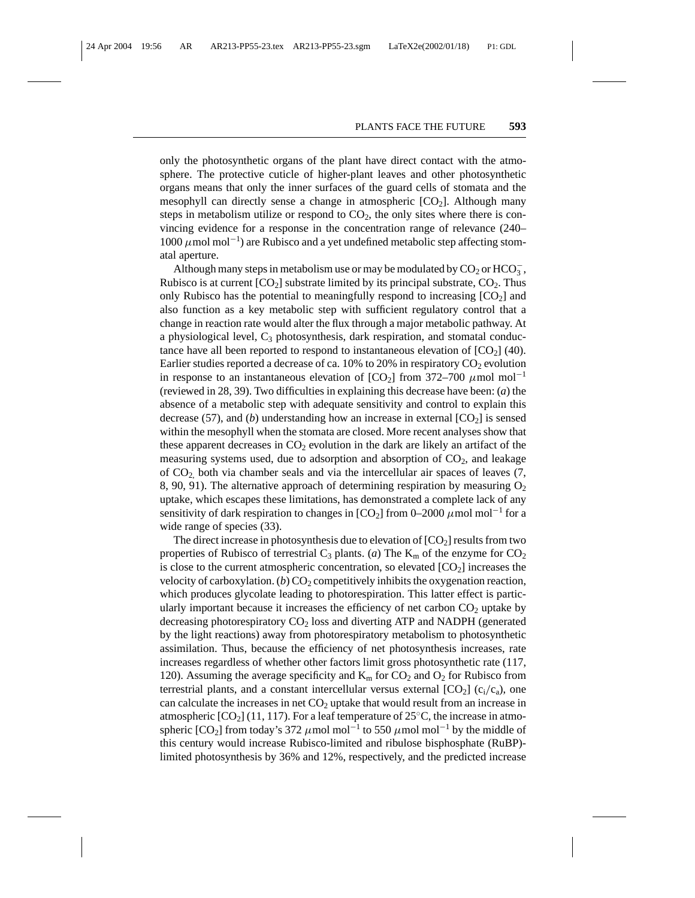only the photosynthetic organs of the plant have direct contact with the atmosphere. The protective cuticle of higher-plant leaves and other photosynthetic organs means that only the inner surfaces of the guard cells of stomata and the mesophyll can directly sense a change in atmospheric  $[CO<sub>2</sub>]$ . Although many steps in metabolism utilize or respond to  $CO<sub>2</sub>$ , the only sites where there is convincing evidence for a response in the concentration range of relevance (240– 1000  $\mu$ mol mol<sup>-1</sup>) are Rubisco and a yet undefined metabolic step affecting stomatal aperture.

Although many steps in metabolism use or may be modulated by  $CO_2$  or  $HCO_3^-$ , Rubisco is at current  $[CO_2]$  substrate limited by its principal substrate,  $CO_2$ . Thus only Rubisco has the potential to meaningfully respond to increasing  $[CO<sub>2</sub>]$  and also function as a key metabolic step with sufficient regulatory control that a change in reaction rate would alter the flux through a major metabolic pathway. At a physiological level,  $C_3$  photosynthesis, dark respiration, and stomatal conductance have all been reported to respond to instantaneous elevation of  $[CO<sub>2</sub>]$  (40). Earlier studies reported a decrease of ca. 10% to 20% in respiratory  $CO<sub>2</sub>$  evolution in response to an instantaneous elevation of  $[CO_2]$  from 372–700  $\mu$ mol mol<sup>-1</sup> (reviewed in 28, 39). Two difficulties in explaining this decrease have been: (*a*) the absence of a metabolic step with adequate sensitivity and control to explain this decrease (57), and (*b*) understanding how an increase in external  $[CO<sub>2</sub>]$  is sensed within the mesophyll when the stomata are closed. More recent analyses show that these apparent decreases in  $CO<sub>2</sub>$  evolution in the dark are likely an artifact of the measuring systems used, due to adsorption and absorption of  $CO<sub>2</sub>$ , and leakage of  $CO<sub>2</sub>$  both via chamber seals and via the intercellular air spaces of leaves  $(7, 7)$ 8, 90, 91). The alternative approach of determining respiration by measuring  $O<sub>2</sub>$ uptake, which escapes these limitations, has demonstrated a complete lack of any sensitivity of dark respiration to changes in  $[CO_2]$  from 0–2000  $\mu$ mol mol<sup>-1</sup> for a wide range of species (33).

The direct increase in photosynthesis due to elevation of  $[CO<sub>2</sub>]$  results from two properties of Rubisco of terrestrial  $C_3$  plants. (*a*) The  $K_m$  of the enzyme for  $CO_2$ is close to the current atmospheric concentration, so elevated  $[CO<sub>2</sub>]$  increases the velocity of carboxylation. (*b*)  $CO<sub>2</sub>$  competitively inhibits the oxygenation reaction, which produces glycolate leading to photorespiration. This latter effect is particularly important because it increases the efficiency of net carbon  $CO<sub>2</sub>$  uptake by decreasing photorespiratory  $CO<sub>2</sub>$  loss and diverting ATP and NADPH (generated by the light reactions) away from photorespiratory metabolism to photosynthetic assimilation. Thus, because the efficiency of net photosynthesis increases, rate increases regardless of whether other factors limit gross photosynthetic rate (117, 120). Assuming the average specificity and  $K_m$  for  $CO_2$  and  $O_2$  for Rubisco from terrestrial plants, and a constant intercellular versus external  $[CO_2]$  ( $c_i/c_a$ ), one can calculate the increases in net  $CO<sub>2</sub>$  uptake that would result from an increase in atmospheric  $[CO_2]$  (11, 117). For a leaf temperature of 25 $\degree$ C, the increase in atmospheric [CO<sub>2</sub>] from today's 372 µmol mol<sup>-1</sup> to 550 µmol mol<sup>-1</sup> by the middle of this century would increase Rubisco-limited and ribulose bisphosphate (RuBP) limited photosynthesis by 36% and 12%, respectively, and the predicted increase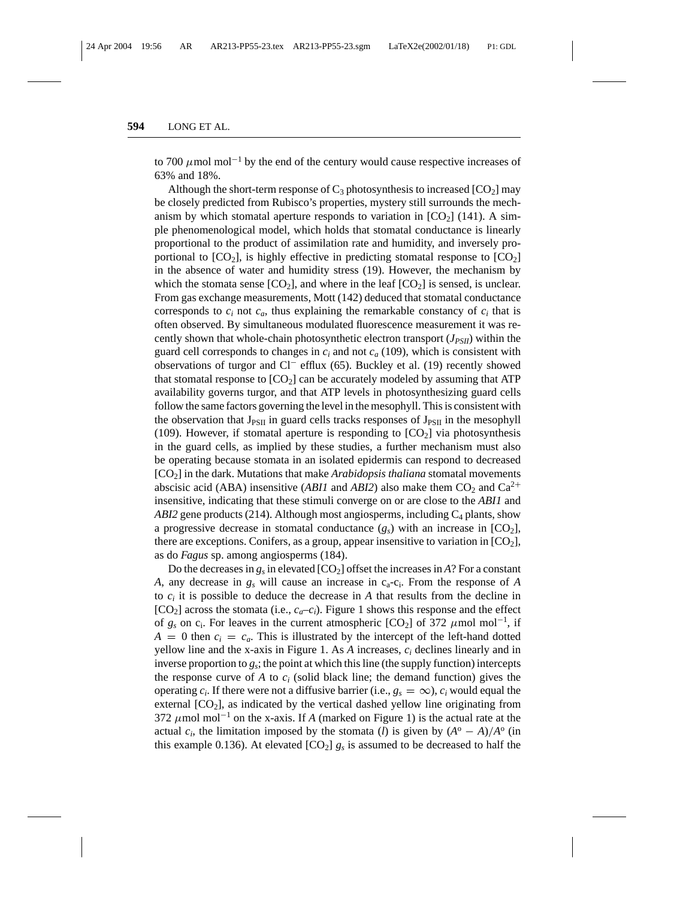to 700  $\mu$ mol mol<sup>-1</sup> by the end of the century would cause respective increases of 63% and 18%.

Although the short-term response of  $C_3$  photosynthesis to increased  $[CO_2]$  may be closely predicted from Rubisco's properties, mystery still surrounds the mechanism by which stomatal aperture responds to variation in  $[CO<sub>2</sub>]$  (141). A simple phenomenological model, which holds that stomatal conductance is linearly proportional to the product of assimilation rate and humidity, and inversely proportional to  $[CO_2]$ , is highly effective in predicting stomatal response to  $[CO_2]$ in the absence of water and humidity stress (19). However, the mechanism by which the stomata sense  $[CO_2]$ , and where in the leaf  $[CO_2]$  is sensed, is unclear. From gas exchange measurements, Mott (142) deduced that stomatal conductance corresponds to  $c_i$  not  $c_a$ , thus explaining the remarkable constancy of  $c_i$  that is often observed. By simultaneous modulated fluorescence measurement it was recently shown that whole-chain photosynthetic electron transport  $(J_{PSII})$  within the guard cell corresponds to changes in  $c_i$  and not  $c_a$  (109), which is consistent with observations of turgor and Cl<sup>−</sup> efflux (65). Buckley et al. (19) recently showed that stomatal response to  $[CO<sub>2</sub>]$  can be accurately modeled by assuming that ATP availability governs turgor, and that ATP levels in photosynthesizing guard cells follow the same factors governing the level in the mesophyll. This is consistent with the observation that  $J_{PSII}$  in guard cells tracks responses of  $J_{PSII}$  in the mesophyll (109). However, if stomatal aperture is responding to  $[CO<sub>2</sub>]$  via photosynthesis in the guard cells, as implied by these studies, a further mechanism must also be operating because stomata in an isolated epidermis can respond to decreased [CO2] in the dark. Mutations that make *Arabidopsis thaliana* stomatal movements abscisic acid (ABA) insensitive (*ABI1* and *ABI2*) also make them  $CO_2$  and  $Ca^{2+}$ insensitive, indicating that these stimuli converge on or are close to the *ABI1* and *ABI2* gene products (214). Although most angiosperms, including  $C_4$  plants, show a progressive decrease in stomatal conductance  $(g_s)$  with an increase in  $[CO_2]$ , there are exceptions. Conifers, as a group, appear insensitive to variation in  $[CO<sub>2</sub>]$ , as do *Fagus* sp. among angiosperms (184).

Do the decreases in  $g_s$  in elevated  $[CO_2]$  offset the increases in *A*? For a constant *A*, any decrease in  $g_s$  will cause an increase in  $c_a$ - $c_i$ . From the response of *A* to  $c_i$  it is possible to deduce the decrease in A that results from the decline in  $[CO<sub>2</sub>]$  across the stomata (i.e.,  $c_a$ – $c_i$ ). Figure 1 shows this response and the effect of  $g_s$  on  $c_i$ . For leaves in the current atmospheric [CO<sub>2</sub>] of 372  $\mu$ mol mol<sup>-1</sup>, if  $A = 0$  then  $c_i = c_a$ . This is illustrated by the intercept of the left-hand dotted yellow line and the x-axis in Figure 1. As *A* increases, *ci* declines linearly and in inverse proportion to *gs*; the point at which this line (the supply function) intercepts the response curve of  $A$  to  $c_i$  (solid black line; the demand function) gives the operating  $c_i$ . If there were not a diffusive barrier (i.e.,  $g_s = \infty$ ),  $c_i$  would equal the external  $[CO<sub>2</sub>]$ , as indicated by the vertical dashed yellow line originating from 372  $\mu$ mol mol<sup>-1</sup> on the x-axis. If *A* (marked on Figure 1) is the actual rate at the actual  $c_i$ , the limitation imposed by the stomata (*l*) is given by  $(A^{\circ} - A)/A^{\circ}$  (in this example 0.136). At elevated  $[CO_2]$   $g_s$  is assumed to be decreased to half the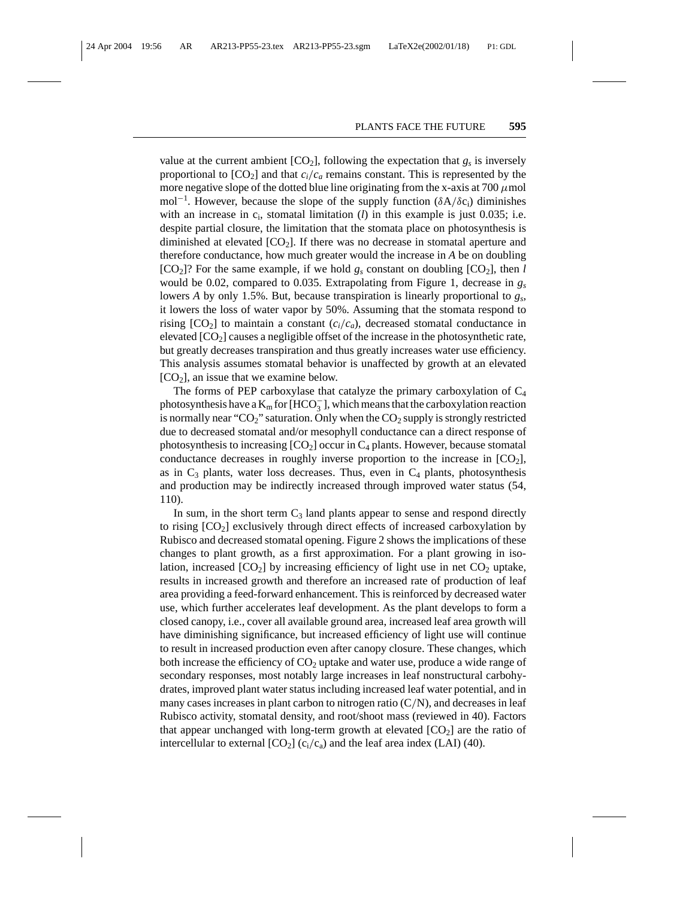value at the current ambient  $[CO_2]$ , following the expectation that  $g_s$  is inversely proportional to  $[CO_2]$  and that  $c_i/c_a$  remains constant. This is represented by the more negative slope of the dotted blue line originating from the x-axis at  $700 \mu$ mol mol<sup>-1</sup>. However, because the slope of the supply function (δA/δc<sub>i</sub>) diminishes with an increase in  $c_i$ , stomatal limitation (*l*) in this example is just 0.035; i.e. despite partial closure, the limitation that the stomata place on photosynthesis is diminished at elevated  $[CO_2]$ . If there was no decrease in stomatal aperture and therefore conductance, how much greater would the increase in *A* be on doubling  $[CO_2]$ ? For the same example, if we hold  $g_s$  constant on doubling  $[CO_2]$ , then *l* would be 0.02, compared to 0.035. Extrapolating from Figure 1, decrease in *gs* lowers *A* by only 1.5%. But, because transpiration is linearly proportional to *gs*, it lowers the loss of water vapor by 50%. Assuming that the stomata respond to rising  $[CO_2]$  to maintain a constant  $(c_i/c_a)$ , decreased stomatal conductance in elevated  $[CO<sub>2</sub>]$  causes a negligible offset of the increase in the photosynthetic rate, but greatly decreases transpiration and thus greatly increases water use efficiency. This analysis assumes stomatal behavior is unaffected by growth at an elevated  $[CO<sub>2</sub>]$ , an issue that we examine below.

The forms of PEP carboxylase that catalyze the primary carboxylation of C4 photosynthesis have a  $\text{K}_{\text{m}}$  for [HCO $_3^-$ ], which means that the carboxylation reaction is normally near " $CO_2$ " saturation. Only when the  $CO_2$  supply is strongly restricted due to decreased stomatal and/or mesophyll conductance can a direct response of photosynthesis to increasing  $[CO_2]$  occur in  $C_4$  plants. However, because stomatal conductance decreases in roughly inverse proportion to the increase in  $[CO<sub>2</sub>]$ , as in  $C_3$  plants, water loss decreases. Thus, even in  $C_4$  plants, photosynthesis and production may be indirectly increased through improved water status (54, 110).

In sum, in the short term  $C_3$  land plants appear to sense and respond directly to rising  $[CO<sub>2</sub>]$  exclusively through direct effects of increased carboxylation by Rubisco and decreased stomatal opening. Figure 2 shows the implications of these changes to plant growth, as a first approximation. For a plant growing in isolation, increased  $[CO_2]$  by increasing efficiency of light use in net  $CO_2$  uptake, results in increased growth and therefore an increased rate of production of leaf area providing a feed-forward enhancement. This is reinforced by decreased water use, which further accelerates leaf development. As the plant develops to form a closed canopy, i.e., cover all available ground area, increased leaf area growth will have diminishing significance, but increased efficiency of light use will continue to result in increased production even after canopy closure. These changes, which both increase the efficiency of  $CO<sub>2</sub>$  uptake and water use, produce a wide range of secondary responses, most notably large increases in leaf nonstructural carbohydrates, improved plant water status including increased leaf water potential, and in many cases increases in plant carbon to nitrogen ratio  $(C/N)$ , and decreases in leaf Rubisco activity, stomatal density, and root/shoot mass (reviewed in 40). Factors that appear unchanged with long-term growth at elevated  $[CO<sub>2</sub>]$  are the ratio of intercellular to external  $[CO_2]$  ( $c_i/c_a$ ) and the leaf area index (LAI) (40).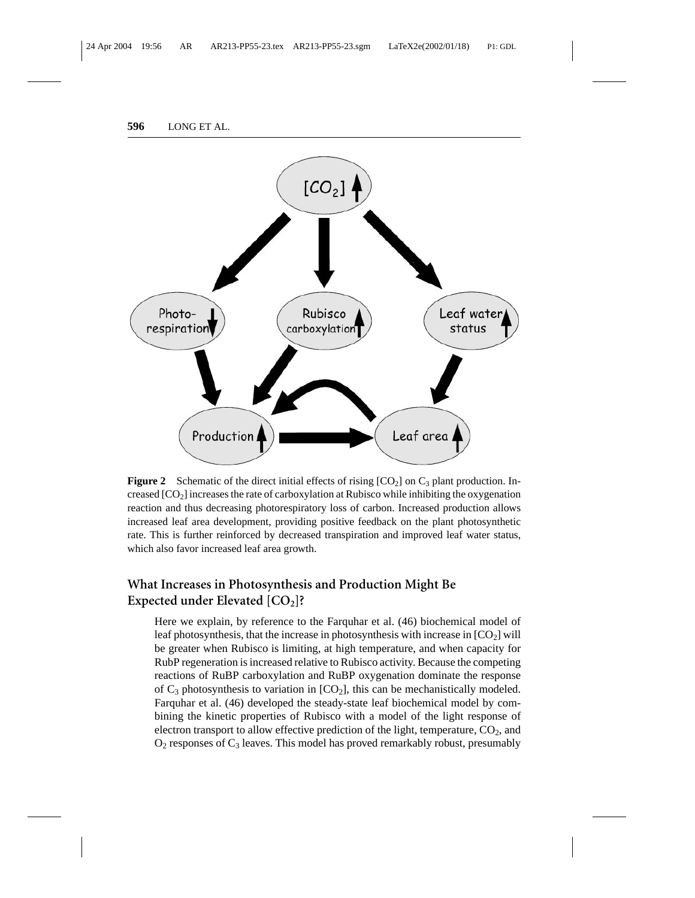

**Figure 2** Schematic of the direct initial effects of rising  $[CO<sub>2</sub>]$  on  $C<sub>3</sub>$  plant production. Increased [CO<sub>2</sub>] increases the rate of carboxylation at Rubisco while inhibiting the oxygenation reaction and thus decreasing photorespiratory loss of carbon. Increased production allows increased leaf area development, providing positive feedback on the plant photosynthetic rate. This is further reinforced by decreased transpiration and improved leaf water status, which also favor increased leaf area growth.

# **What Increases in Photosynthesis and Production Might Be Expected under Elevated [CO<sub>2</sub>]?**

Here we explain, by reference to the Farquhar et al. (46) biochemical model of leaf photosynthesis, that the increase in photosynthesis with increase in  $[CO<sub>2</sub>]$  will be greater when Rubisco is limiting, at high temperature, and when capacity for RubP regeneration is increased relative to Rubisco activity. Because the competing reactions of RuBP carboxylation and RuBP oxygenation dominate the response of  $C_3$  photosynthesis to variation in  $[CO_2]$ , this can be mechanistically modeled. Farquhar et al. (46) developed the steady-state leaf biochemical model by combining the kinetic properties of Rubisco with a model of the light response of electron transport to allow effective prediction of the light, temperature,  $CO<sub>2</sub>$ , and  $O_2$  responses of  $C_3$  leaves. This model has proved remarkably robust, presumably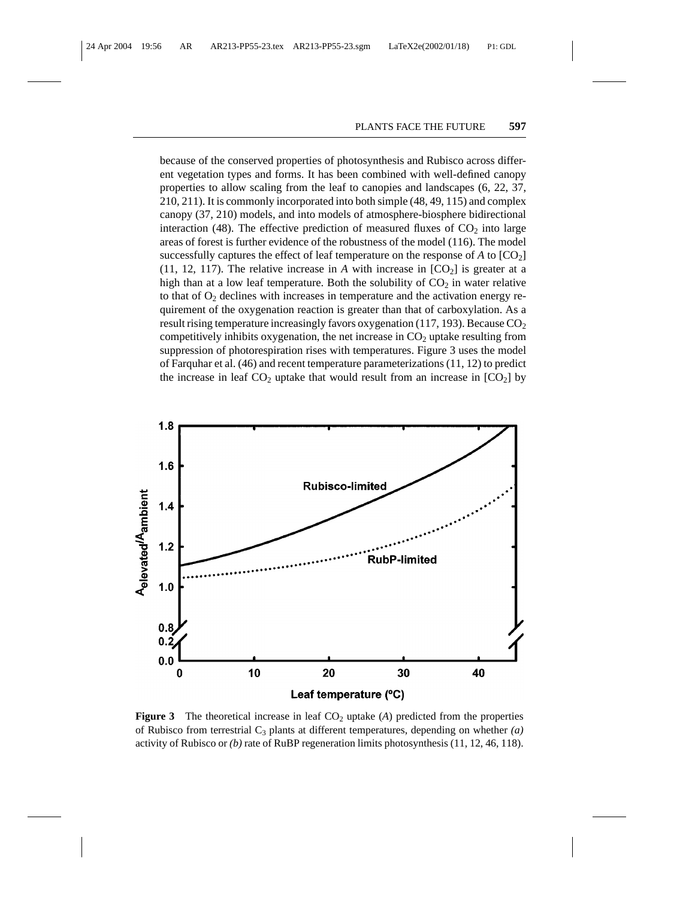because of the conserved properties of photosynthesis and Rubisco across different vegetation types and forms. It has been combined with well-defined canopy properties to allow scaling from the leaf to canopies and landscapes (6, 22, 37, 210, 211). It is commonly incorporated into both simple (48, 49, 115) and complex canopy (37, 210) models, and into models of atmosphere-biosphere bidirectional interaction (48). The effective prediction of measured fluxes of  $CO<sub>2</sub>$  into large areas of forest is further evidence of the robustness of the model (116). The model successfully captures the effect of leaf temperature on the response of  $A$  to  $[CO_2]$ (11, 12, 117). The relative increase in A with increase in  $[CO<sub>2</sub>]$  is greater at a high than at a low leaf temperature. Both the solubility of  $CO<sub>2</sub>$  in water relative to that of  $O_2$  declines with increases in temperature and the activation energy requirement of the oxygenation reaction is greater than that of carboxylation. As a result rising temperature increasingly favors oxygenation (117, 193). Because  $CO<sub>2</sub>$ competitively inhibits oxygenation, the net increase in  $CO<sub>2</sub>$  uptake resulting from suppression of photorespiration rises with temperatures. Figure 3 uses the model of Farquhar et al. (46) and recent temperature parameterizations (11, 12) to predict the increase in leaf  $CO<sub>2</sub>$  uptake that would result from an increase in  $[CO<sub>2</sub>]$  by



**Figure 3** The theoretical increase in leaf  $CO<sub>2</sub>$  uptake (*A*) predicted from the properties of Rubisco from terrestrial  $C_3$  plants at different temperatures, depending on whether  $(a)$ activity of Rubisco or *(b)* rate of RuBP regeneration limits photosynthesis (11, 12, 46, 118).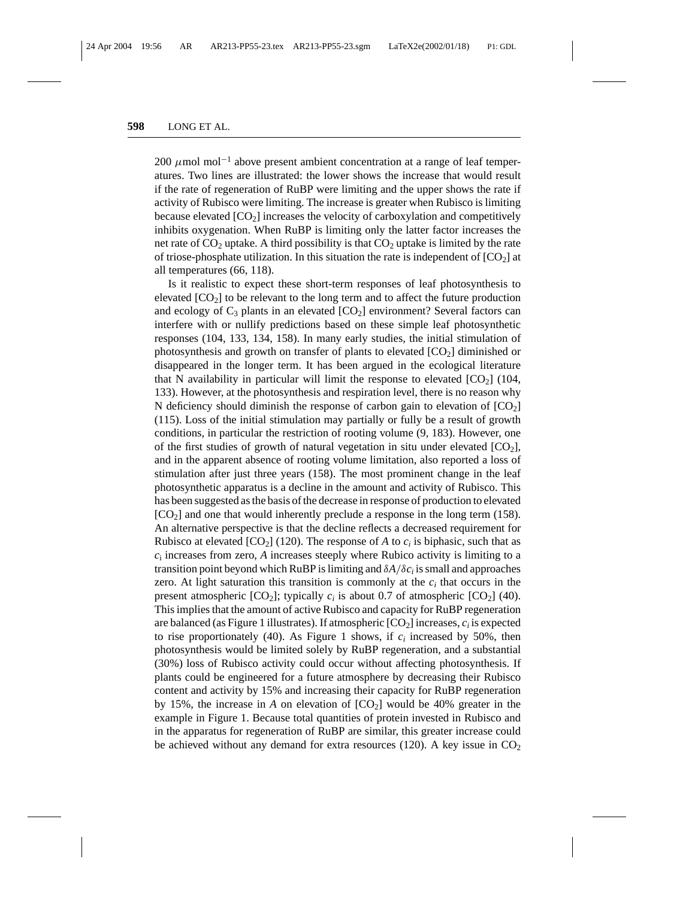200  $\mu$ mol mol<sup>-1</sup> above present ambient concentration at a range of leaf temperatures. Two lines are illustrated: the lower shows the increase that would result if the rate of regeneration of RuBP were limiting and the upper shows the rate if activity of Rubisco were limiting. The increase is greater when Rubisco is limiting because elevated  $[CO_2]$  increases the velocity of carboxylation and competitively inhibits oxygenation. When RuBP is limiting only the latter factor increases the net rate of  $CO<sub>2</sub>$  uptake. A third possibility is that  $CO<sub>2</sub>$  uptake is limited by the rate of triose-phosphate utilization. In this situation the rate is independent of  $[CO<sub>2</sub>]$  at all temperatures (66, 118).

Is it realistic to expect these short-term responses of leaf photosynthesis to elevated  $[CO<sub>2</sub>]$  to be relevant to the long term and to affect the future production and ecology of  $C_3$  plants in an elevated  $[CO_2]$  environment? Several factors can interfere with or nullify predictions based on these simple leaf photosynthetic responses (104, 133, 134, 158). In many early studies, the initial stimulation of photosynthesis and growth on transfer of plants to elevated  $[CO<sub>2</sub>]$  diminished or disappeared in the longer term. It has been argued in the ecological literature that N availability in particular will limit the response to elevated  $[CO<sub>2</sub>]$  (104, 133). However, at the photosynthesis and respiration level, there is no reason why N deficiency should diminish the response of carbon gain to elevation of  $[CO<sub>2</sub>]$ (115). Loss of the initial stimulation may partially or fully be a result of growth conditions, in particular the restriction of rooting volume (9, 183). However, one of the first studies of growth of natural vegetation in situ under elevated  $[CO_2]$ , and in the apparent absence of rooting volume limitation, also reported a loss of stimulation after just three years (158). The most prominent change in the leaf photosynthetic apparatus is a decline in the amount and activity of Rubisco. This has been suggested as the basis of the decrease in response of production to elevated  $[CO<sub>2</sub>]$  and one that would inherently preclude a response in the long term (158). An alternative perspective is that the decline reflects a decreased requirement for Rubisco at elevated  $[CO_2]$  (120). The response of *A* to  $c_i$  is biphasic, such that as  $c_i$  increases from zero,  $\vec{A}$  increases steeply where Rubico activity is limiting to a transition point beyond which RuBP is limiting and δ*A*/δ*ci* is small and approaches zero. At light saturation this transition is commonly at the  $c_i$  that occurs in the present atmospheric  $[CO_2]$ ; typically  $c_i$  is about 0.7 of atmospheric  $[CO_2]$  (40). This implies that the amount of active Rubisco and capacity for RuBP regeneration are balanced (as Figure 1 illustrates). If atmospheric  $[CO<sub>2</sub>]$  increases,  $c<sub>i</sub>$  is expected to rise proportionately (40). As Figure 1 shows, if  $c_i$  increased by 50%, then photosynthesis would be limited solely by RuBP regeneration, and a substantial (30%) loss of Rubisco activity could occur without affecting photosynthesis. If plants could be engineered for a future atmosphere by decreasing their Rubisco content and activity by 15% and increasing their capacity for RuBP regeneration by 15%, the increase in *A* on elevation of  $[CO_2]$  would be 40% greater in the example in Figure 1. Because total quantities of protein invested in Rubisco and in the apparatus for regeneration of RuBP are similar, this greater increase could be achieved without any demand for extra resources (120). A key issue in  $CO<sub>2</sub>$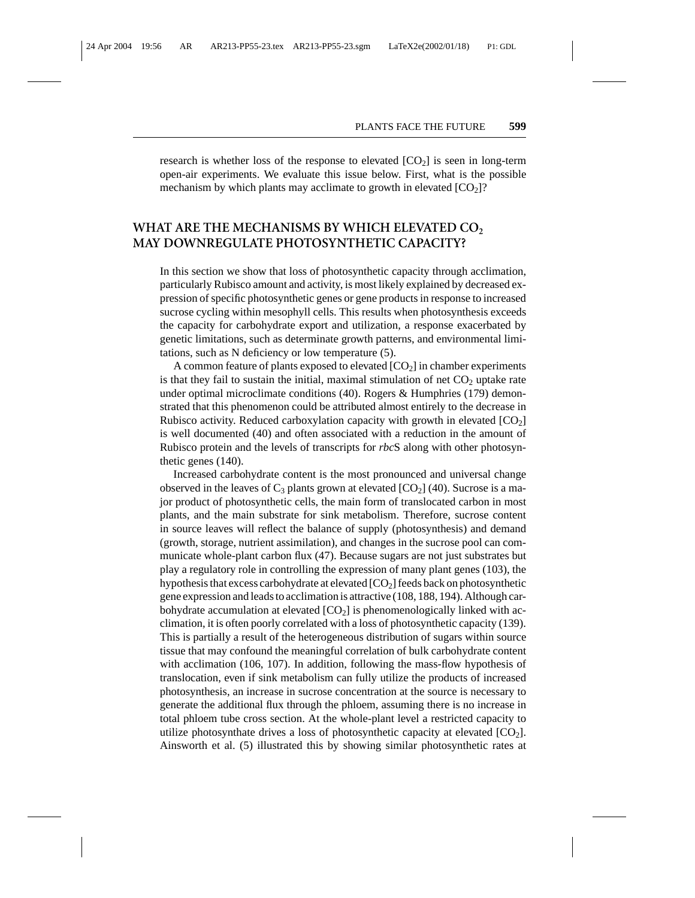research is whether loss of the response to elevated  $[CO<sub>2</sub>]$  is seen in long-term open-air experiments. We evaluate this issue below. First, what is the possible mechanism by which plants may acclimate to growth in elevated  $[CO<sub>2</sub>]$ ?

## WHAT ARE THE MECHANISMS BY WHICH ELEVATED CO<sub>2</sub> **MAY DOWNREGULATE PHOTOSYNTHETIC CAPACITY?**

In this section we show that loss of photosynthetic capacity through acclimation, particularly Rubisco amount and activity, is most likely explained by decreased expression of specific photosynthetic genes or gene products in response to increased sucrose cycling within mesophyll cells. This results when photosynthesis exceeds the capacity for carbohydrate export and utilization, a response exacerbated by genetic limitations, such as determinate growth patterns, and environmental limitations, such as N deficiency or low temperature (5).

A common feature of plants exposed to elevated  $[CO<sub>2</sub>]$  in chamber experiments is that they fail to sustain the initial, maximal stimulation of net  $CO<sub>2</sub>$  uptake rate under optimal microclimate conditions (40). Rogers & Humphries (179) demonstrated that this phenomenon could be attributed almost entirely to the decrease in Rubisco activity. Reduced carboxylation capacity with growth in elevated  $[CO<sub>2</sub>]$ is well documented (40) and often associated with a reduction in the amount of Rubisco protein and the levels of transcripts for *rbc*S along with other photosynthetic genes (140).

Increased carbohydrate content is the most pronounced and universal change observed in the leaves of  $C_3$  plants grown at elevated  $[CO_2]$  (40). Sucrose is a major product of photosynthetic cells, the main form of translocated carbon in most plants, and the main substrate for sink metabolism. Therefore, sucrose content in source leaves will reflect the balance of supply (photosynthesis) and demand (growth, storage, nutrient assimilation), and changes in the sucrose pool can communicate whole-plant carbon flux (47). Because sugars are not just substrates but play a regulatory role in controlling the expression of many plant genes (103), the hypothesis that excess carbohydrate at elevated  $[CO<sub>2</sub>]$  feeds back on photosynthetic gene expression and leads to acclimation is attractive (108, 188, 194). Although carbohydrate accumulation at elevated  $[CO<sub>2</sub>]$  is phenomenologically linked with acclimation, it is often poorly correlated with a loss of photosynthetic capacity (139). This is partially a result of the heterogeneous distribution of sugars within source tissue that may confound the meaningful correlation of bulk carbohydrate content with acclimation (106, 107). In addition, following the mass-flow hypothesis of translocation, even if sink metabolism can fully utilize the products of increased photosynthesis, an increase in sucrose concentration at the source is necessary to generate the additional flux through the phloem, assuming there is no increase in total phloem tube cross section. At the whole-plant level a restricted capacity to utilize photosynthate drives a loss of photosynthetic capacity at elevated  $[CO<sub>2</sub>]$ . Ainsworth et al. (5) illustrated this by showing similar photosynthetic rates at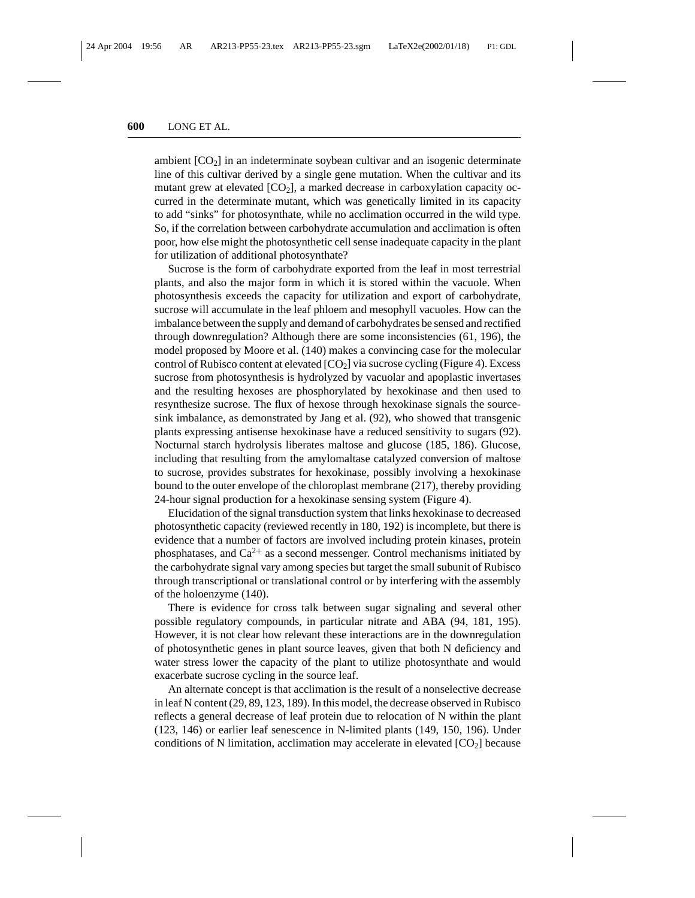ambient  $[CO<sub>2</sub>]$  in an indeterminate soybean cultivar and an isogenic determinate line of this cultivar derived by a single gene mutation. When the cultivar and its mutant grew at elevated  $[CO_2]$ , a marked decrease in carboxylation capacity occurred in the determinate mutant, which was genetically limited in its capacity to add "sinks" for photosynthate, while no acclimation occurred in the wild type. So, if the correlation between carbohydrate accumulation and acclimation is often poor, how else might the photosynthetic cell sense inadequate capacity in the plant for utilization of additional photosynthate?

Sucrose is the form of carbohydrate exported from the leaf in most terrestrial plants, and also the major form in which it is stored within the vacuole. When photosynthesis exceeds the capacity for utilization and export of carbohydrate, sucrose will accumulate in the leaf phloem and mesophyll vacuoles. How can the imbalance between the supply and demand of carbohydrates be sensed and rectified through downregulation? Although there are some inconsistencies (61, 196), the model proposed by Moore et al. (140) makes a convincing case for the molecular control of Rubisco content at elevated  $[CO_2]$  via sucrose cycling (Figure 4). Excess sucrose from photosynthesis is hydrolyzed by vacuolar and apoplastic invertases and the resulting hexoses are phosphorylated by hexokinase and then used to resynthesize sucrose. The flux of hexose through hexokinase signals the sourcesink imbalance, as demonstrated by Jang et al. (92), who showed that transgenic plants expressing antisense hexokinase have a reduced sensitivity to sugars (92). Nocturnal starch hydrolysis liberates maltose and glucose (185, 186). Glucose, including that resulting from the amylomaltase catalyzed conversion of maltose to sucrose, provides substrates for hexokinase, possibly involving a hexokinase bound to the outer envelope of the chloroplast membrane (217), thereby providing 24-hour signal production for a hexokinase sensing system (Figure 4).

Elucidation of the signal transduction system that links hexokinase to decreased photosynthetic capacity (reviewed recently in 180, 192) is incomplete, but there is evidence that a number of factors are involved including protein kinases, protein phosphatases, and  $Ca^{2+}$  as a second messenger. Control mechanisms initiated by the carbohydrate signal vary among species but target the small subunit of Rubisco through transcriptional or translational control or by interfering with the assembly of the holoenzyme (140).

There is evidence for cross talk between sugar signaling and several other possible regulatory compounds, in particular nitrate and ABA (94, 181, 195). However, it is not clear how relevant these interactions are in the downregulation of photosynthetic genes in plant source leaves, given that both N deficiency and water stress lower the capacity of the plant to utilize photosynthate and would exacerbate sucrose cycling in the source leaf.

An alternate concept is that acclimation is the result of a nonselective decrease in leaf N content (29, 89, 123, 189). In this model, the decrease observed in Rubisco reflects a general decrease of leaf protein due to relocation of N within the plant (123, 146) or earlier leaf senescence in N-limited plants (149, 150, 196). Under conditions of N limitation, acclimation may accelerate in elevated  $[CO<sub>2</sub>]$  because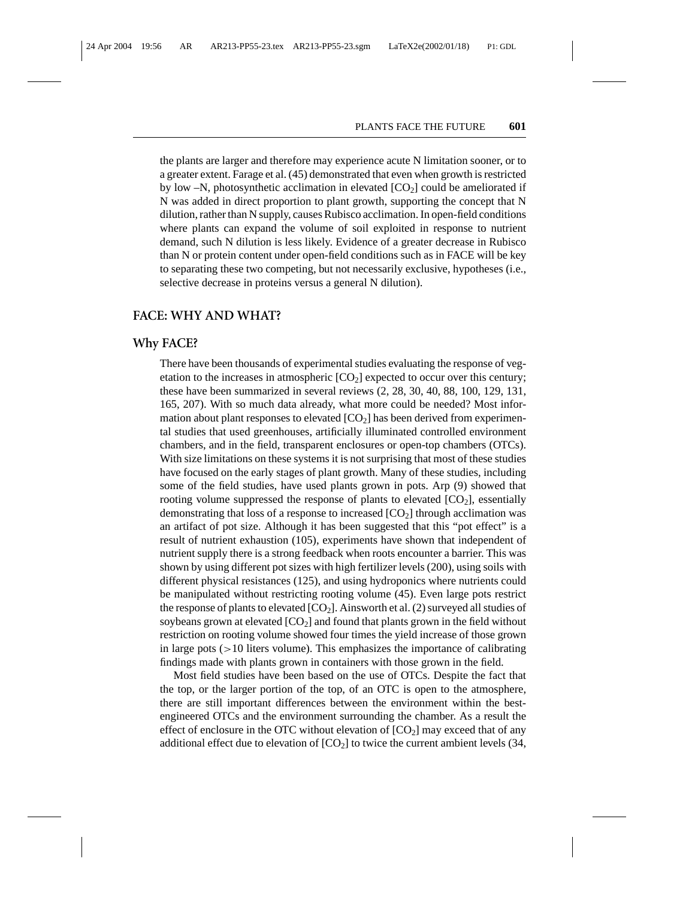the plants are larger and therefore may experience acute N limitation sooner, or to a greater extent. Farage et al. (45) demonstrated that even when growth is restricted by low  $-N$ , photosynthetic acclimation in elevated  $[CO<sub>2</sub>]$  could be ameliorated if N was added in direct proportion to plant growth, supporting the concept that N dilution, rather than N supply, causes Rubisco acclimation. In open-field conditions where plants can expand the volume of soil exploited in response to nutrient demand, such N dilution is less likely. Evidence of a greater decrease in Rubisco than N or protein content under open-field conditions such as in FACE will be key to separating these two competing, but not necessarily exclusive, hypotheses (i.e., selective decrease in proteins versus a general N dilution).

#### **FACE: WHY AND WHAT?**

### **Why FACE?**

There have been thousands of experimental studies evaluating the response of vegetation to the increases in atmospheric  $[CO<sub>2</sub>]$  expected to occur over this century; these have been summarized in several reviews (2, 28, 30, 40, 88, 100, 129, 131, 165, 207). With so much data already, what more could be needed? Most information about plant responses to elevated  $[CO<sub>2</sub>]$  has been derived from experimental studies that used greenhouses, artificially illuminated controlled environment chambers, and in the field, transparent enclosures or open-top chambers (OTCs). With size limitations on these systems it is not surprising that most of these studies have focused on the early stages of plant growth. Many of these studies, including some of the field studies, have used plants grown in pots. Arp (9) showed that rooting volume suppressed the response of plants to elevated  $[CO<sub>2</sub>]$ , essentially demonstrating that loss of a response to increased  $[CO<sub>2</sub>]$  through acclimation was an artifact of pot size. Although it has been suggested that this "pot effect" is a result of nutrient exhaustion (105), experiments have shown that independent of nutrient supply there is a strong feedback when roots encounter a barrier. This was shown by using different pot sizes with high fertilizer levels (200), using soils with different physical resistances (125), and using hydroponics where nutrients could be manipulated without restricting rooting volume (45). Even large pots restrict the response of plants to elevated  $[CO_2]$ . Ainsworth et al. (2) surveyed all studies of soybeans grown at elevated  $[CO<sub>2</sub>]$  and found that plants grown in the field without restriction on rooting volume showed four times the yield increase of those grown in large pots  $(>10$  liters volume). This emphasizes the importance of calibrating findings made with plants grown in containers with those grown in the field.

Most field studies have been based on the use of OTCs. Despite the fact that the top, or the larger portion of the top, of an OTC is open to the atmosphere, there are still important differences between the environment within the bestengineered OTCs and the environment surrounding the chamber. As a result the effect of enclosure in the OTC without elevation of  $[CO<sub>2</sub>]$  may exceed that of any additional effect due to elevation of  $[CO_2]$  to twice the current ambient levels (34,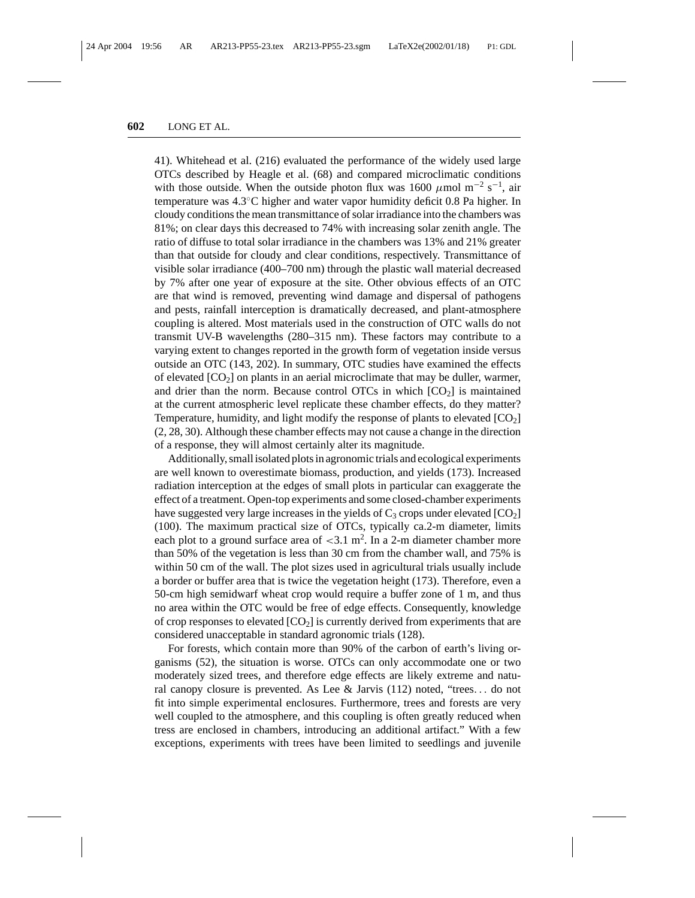41). Whitehead et al. (216) evaluated the performance of the widely used large OTCs described by Heagle et al. (68) and compared microclimatic conditions with those outside. When the outside photon flux was 1600  $\mu$ mol m<sup>-2</sup> s<sup>-1</sup>, air temperature was 4.3◦C higher and water vapor humidity deficit 0.8 Pa higher. In cloudy conditions the mean transmittance of solar irradiance into the chambers was 81%; on clear days this decreased to 74% with increasing solar zenith angle. The ratio of diffuse to total solar irradiance in the chambers was 13% and 21% greater than that outside for cloudy and clear conditions, respectively. Transmittance of visible solar irradiance (400–700 nm) through the plastic wall material decreased by 7% after one year of exposure at the site. Other obvious effects of an OTC are that wind is removed, preventing wind damage and dispersal of pathogens and pests, rainfall interception is dramatically decreased, and plant-atmosphere coupling is altered. Most materials used in the construction of OTC walls do not transmit UV-B wavelengths (280–315 nm). These factors may contribute to a varying extent to changes reported in the growth form of vegetation inside versus outside an OTC (143, 202). In summary, OTC studies have examined the effects of elevated  $[CO<sub>2</sub>]$  on plants in an aerial microclimate that may be duller, warmer, and drier than the norm. Because control OTCs in which  $[CO<sub>2</sub>]$  is maintained at the current atmospheric level replicate these chamber effects, do they matter? Temperature, humidity, and light modify the response of plants to elevated  $[CO<sub>2</sub>]$ (2, 28, 30). Although these chamber effects may not cause a change in the direction of a response, they will almost certainly alter its magnitude.

Additionally, small isolated plots in agronomic trials and ecological experiments are well known to overestimate biomass, production, and yields (173). Increased radiation interception at the edges of small plots in particular can exaggerate the effect of a treatment. Open-top experiments and some closed-chamber experiments have suggested very large increases in the yields of  $C_3$  crops under elevated  $[CO_2]$ (100). The maximum practical size of OTCs, typically ca.2-m diameter, limits each plot to a ground surface area of  $<$ 3.1 m<sup>2</sup>. In a 2-m diameter chamber more than 50% of the vegetation is less than 30 cm from the chamber wall, and 75% is within 50 cm of the wall. The plot sizes used in agricultural trials usually include a border or buffer area that is twice the vegetation height (173). Therefore, even a 50-cm high semidwarf wheat crop would require a buffer zone of 1 m, and thus no area within the OTC would be free of edge effects. Consequently, knowledge of crop responses to elevated  $[CO_2]$  is currently derived from experiments that are considered unacceptable in standard agronomic trials (128).

For forests, which contain more than 90% of the carbon of earth's living organisms (52), the situation is worse. OTCs can only accommodate one or two moderately sized trees, and therefore edge effects are likely extreme and natural canopy closure is prevented. As Lee & Jarvis (112) noted, "trees... do not fit into simple experimental enclosures. Furthermore, trees and forests are very well coupled to the atmosphere, and this coupling is often greatly reduced when tress are enclosed in chambers, introducing an additional artifact." With a few exceptions, experiments with trees have been limited to seedlings and juvenile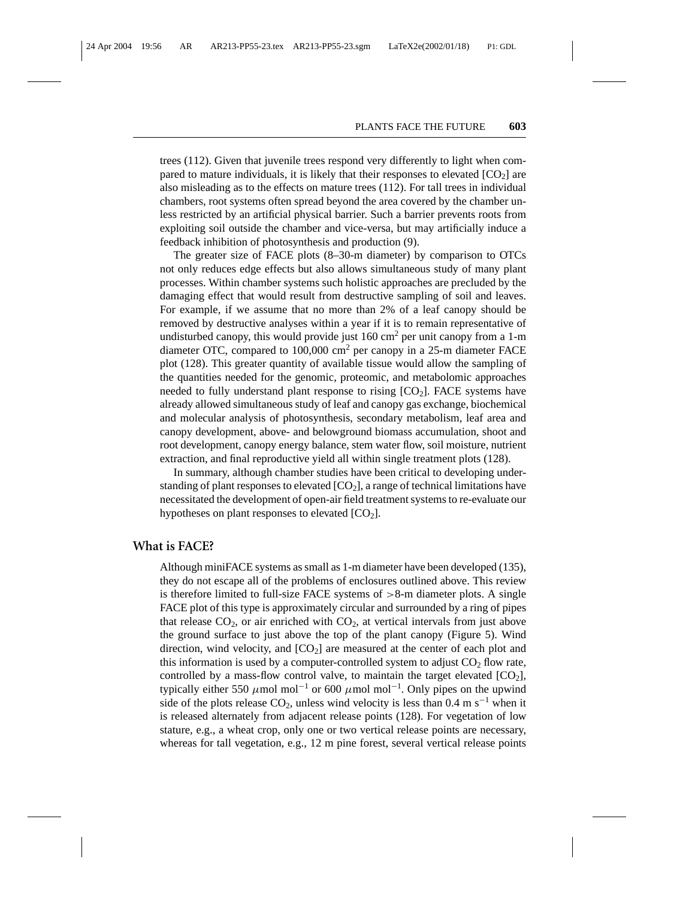trees (112). Given that juvenile trees respond very differently to light when compared to mature individuals, it is likely that their responses to elevated  $[CO<sub>2</sub>]$  are also misleading as to the effects on mature trees (112). For tall trees in individual chambers, root systems often spread beyond the area covered by the chamber unless restricted by an artificial physical barrier. Such a barrier prevents roots from exploiting soil outside the chamber and vice-versa, but may artificially induce a feedback inhibition of photosynthesis and production (9).

The greater size of FACE plots (8–30-m diameter) by comparison to OTCs not only reduces edge effects but also allows simultaneous study of many plant processes. Within chamber systems such holistic approaches are precluded by the damaging effect that would result from destructive sampling of soil and leaves. For example, if we assume that no more than 2% of a leaf canopy should be removed by destructive analyses within a year if it is to remain representative of undisturbed canopy, this would provide just  $160 \text{ cm}^2$  per unit canopy from a 1-m diameter OTC, compared to 100,000 cm2 per canopy in a 25-m diameter FACE plot (128). This greater quantity of available tissue would allow the sampling of the quantities needed for the genomic, proteomic, and metabolomic approaches needed to fully understand plant response to rising  $[CO<sub>2</sub>]$ . FACE systems have already allowed simultaneous study of leaf and canopy gas exchange, biochemical and molecular analysis of photosynthesis, secondary metabolism, leaf area and canopy development, above- and belowground biomass accumulation, shoot and root development, canopy energy balance, stem water flow, soil moisture, nutrient extraction, and final reproductive yield all within single treatment plots (128).

In summary, although chamber studies have been critical to developing understanding of plant responses to elevated  $[CO<sub>2</sub>]$ , a range of technical limitations have necessitated the development of open-air field treatment systems to re-evaluate our hypotheses on plant responses to elevated  $[CO<sub>2</sub>]$ .

#### **What is FACE?**

Although miniFACE systems as small as 1-m diameter have been developed (135), they do not escape all of the problems of enclosures outlined above. This review is therefore limited to full-size FACE systems of  $>8$ -m diameter plots. A single FACE plot of this type is approximately circular and surrounded by a ring of pipes that release  $CO<sub>2</sub>$ , or air enriched with  $CO<sub>2</sub>$ , at vertical intervals from just above the ground surface to just above the top of the plant canopy (Figure 5). Wind direction, wind velocity, and  $[CO<sub>2</sub>]$  are measured at the center of each plot and this information is used by a computer-controlled system to adjust  $CO<sub>2</sub>$  flow rate, controlled by a mass-flow control valve, to maintain the target elevated  $[CO<sub>2</sub>]$ , typically either 550  $\mu$ mol mol<sup>-1</sup> or 600  $\mu$ mol mol<sup>-1</sup>. Only pipes on the upwind side of the plots release  $CO_2$ , unless wind velocity is less than 0.4 m s<sup>-1</sup> when it is released alternately from adjacent release points (128). For vegetation of low stature, e.g., a wheat crop, only one or two vertical release points are necessary, whereas for tall vegetation, e.g., 12 m pine forest, several vertical release points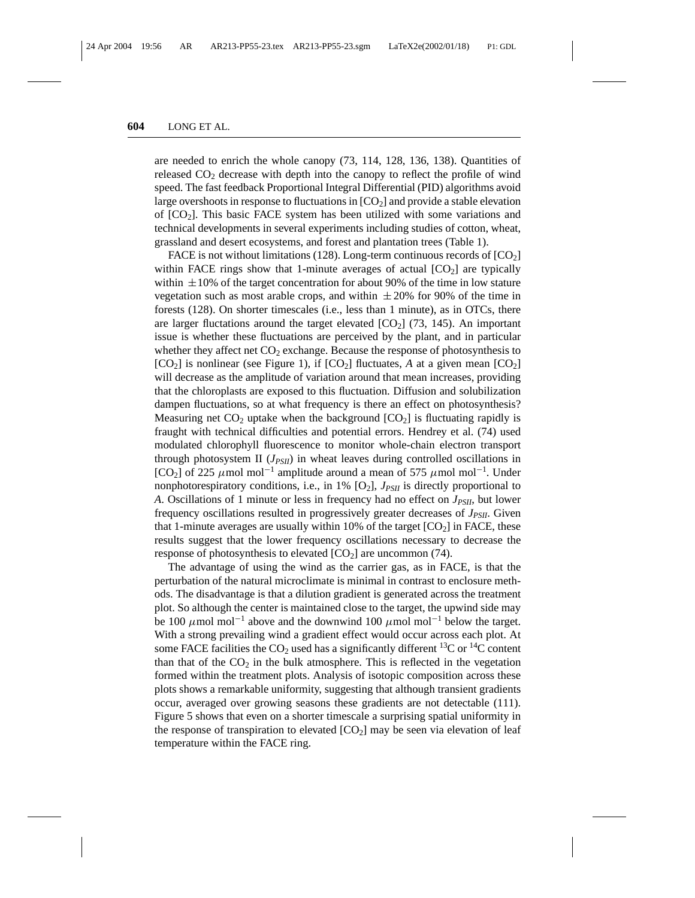are needed to enrich the whole canopy (73, 114, 128, 136, 138). Quantities of released  $CO<sub>2</sub>$  decrease with depth into the canopy to reflect the profile of wind speed. The fast feedback Proportional Integral Differential (PID) algorithms avoid large overshoots in response to fluctuations in  $[CO<sub>2</sub>]$  and provide a stable elevation of  $[CO<sub>2</sub>]$ . This basic FACE system has been utilized with some variations and technical developments in several experiments including studies of cotton, wheat, grassland and desert ecosystems, and forest and plantation trees (Table 1).

FACE is not without limitations (128). Long-term continuous records of  $[CO<sub>2</sub>]$ within FACE rings show that 1-minute averages of actual  $[CO_2]$  are typically within  $\pm 10\%$  of the target concentration for about 90% of the time in low stature vegetation such as most arable crops, and within  $\pm 20\%$  for 90% of the time in forests (128). On shorter timescales (i.e., less than 1 minute), as in OTCs, there are larger fluctations around the target elevated  $[CO<sub>2</sub>]$  (73, 145). An important issue is whether these fluctuations are perceived by the plant, and in particular whether they affect net  $CO<sub>2</sub>$  exchange. Because the response of photosynthesis to  $[CO<sub>2</sub>]$  is nonlinear (see Figure 1), if  $[CO<sub>2</sub>]$  fluctuates, *A* at a given mean  $[CO<sub>2</sub>]$ will decrease as the amplitude of variation around that mean increases, providing that the chloroplasts are exposed to this fluctuation. Diffusion and solubilization dampen fluctuations, so at what frequency is there an effect on photosynthesis? Measuring net  $CO<sub>2</sub>$  uptake when the background  $[CO<sub>2</sub>]$  is fluctuating rapidly is fraught with technical difficulties and potential errors. Hendrey et al. (74) used modulated chlorophyll fluorescence to monitor whole-chain electron transport through photosystem II  $(J_{PSII})$  in wheat leaves during controlled oscillations in [CO<sub>2</sub>] of 225  $\mu$ mol mol<sup>-1</sup> amplitude around a mean of 575  $\mu$ mol mol<sup>-1</sup>. Under nonphotorespiratory conditions, i.e., in 1% [O<sub>2</sub>],  $J_{PSII}$  is directly proportional to *A*. Oscillations of 1 minute or less in frequency had no effect on *JPSII*, but lower frequency oscillations resulted in progressively greater decreases of *J<sub>PSII</sub>*. Given that 1-minute averages are usually within 10% of the target  $[CO<sub>2</sub>]$  in FACE, these results suggest that the lower frequency oscillations necessary to decrease the response of photosynthesis to elevated  $[CO<sub>2</sub>]$  are uncommon (74).

The advantage of using the wind as the carrier gas, as in FACE, is that the perturbation of the natural microclimate is minimal in contrast to enclosure methods. The disadvantage is that a dilution gradient is generated across the treatment plot. So although the center is maintained close to the target, the upwind side may be 100  $\mu$ mol mol<sup>-1</sup> above and the downwind 100  $\mu$ mol mol<sup>-1</sup> below the target. With a strong prevailing wind a gradient effect would occur across each plot. At some FACE facilities the  $CO_2$  used has a significantly different <sup>13</sup>C or <sup>14</sup>C content than that of the  $CO<sub>2</sub>$  in the bulk atmosphere. This is reflected in the vegetation formed within the treatment plots. Analysis of isotopic composition across these plots shows a remarkable uniformity, suggesting that although transient gradients occur, averaged over growing seasons these gradients are not detectable (111). Figure 5 shows that even on a shorter timescale a surprising spatial uniformity in the response of transpiration to elevated  $[CO<sub>2</sub>]$  may be seen via elevation of leaf temperature within the FACE ring.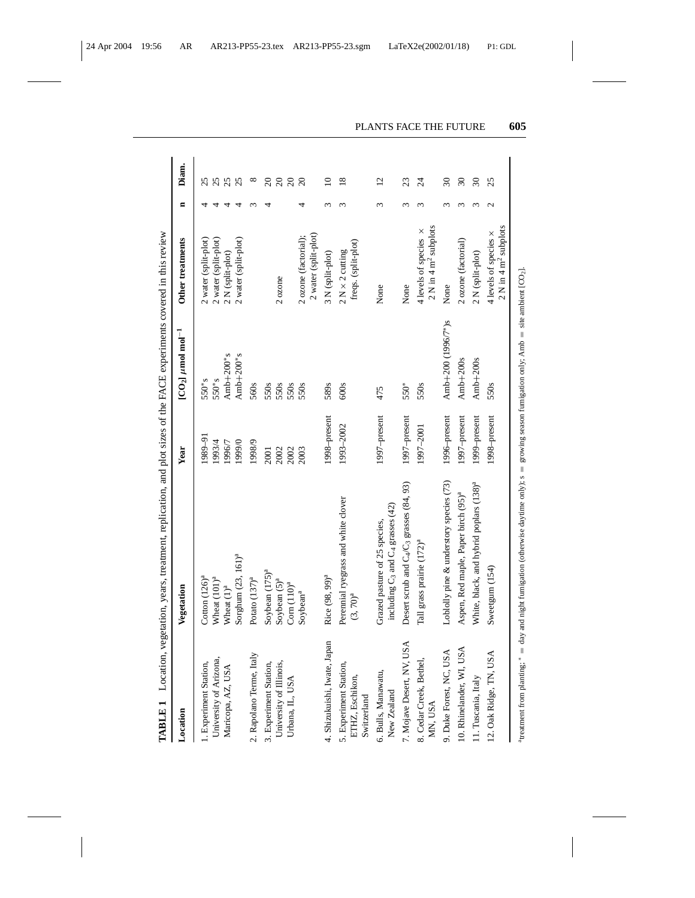|                                                          | TABLE 1 Location, vegetation, years, treatment, replication, and plot sizes of the FACE experiments covered in this review |                 |                                       |                                                                    |   |                 |
|----------------------------------------------------------|----------------------------------------------------------------------------------------------------------------------------|-----------------|---------------------------------------|--------------------------------------------------------------------|---|-----------------|
| Location                                                 | Vegetation                                                                                                                 | Year            | [ $CO2$ ] $\mu$ mol mol <sup>-1</sup> | Other treatments                                                   | Ξ | Diam.           |
| 1. Experiment Station,                                   | Cotton $(126)^a$                                                                                                           | 1989-91         | $550*$ s                              | 2 water (split-plot)                                               |   |                 |
| University of Arizona,                                   | Wheat $(101)^a$                                                                                                            | 1993/4          | $550$ <sup>*</sup> s                  | 2 water (split-plot)                                               |   |                 |
| Maricopa, AZ, USA                                        | Wheat $(1)^a$                                                                                                              | 1996/7          | $Amb+200*$ s                          | 2 N (split-plot)                                                   |   | 25              |
|                                                          | Sorghum (23, 161) <sup>a</sup>                                                                                             | 1999/0          | Amb $+200$ *s                         | 2 water (split-plot)                                               |   | 25              |
| 2. Rapolano Terme, Italy                                 | Potato (137) <sup>a</sup>                                                                                                  | 1998/9          | 560s                                  |                                                                    |   | $^{\circ}$      |
| 3. Experiment Station,                                   | Soybean (175) <sup>a</sup>                                                                                                 | 2001            | 550s                                  |                                                                    |   | $\overline{c}$  |
| University of Illinois,<br>Urbana, IL, USA               | Soybean $(5)^a$                                                                                                            | 2002            | 550s                                  | 2 ozone                                                            |   | $\overline{c}$  |
|                                                          | Com (110) <sup>a</sup>                                                                                                     | 2002            | 550s                                  |                                                                    |   | $\overline{c}$  |
|                                                          | Soybean <sup>a</sup>                                                                                                       | 2003            | 550s                                  | 2 water (split-plot)<br>2 ozone (factorial);                       |   | $\overline{c}$  |
| 4. Shizukuishi, Iwate, Japan                             | Rice (98, 99) <sup>a</sup>                                                                                                 | 1998-present    | 589s                                  | 3 N (split-plot)                                                   |   | $\supseteq$     |
| 5. Experiment Station,<br>ETHZ, Eschikon,<br>Switzerland | Perennial ryegrass and white clover<br>$(3, 70)^{a}$                                                                       | 1993-2002       | 600s                                  | freqs. (split-plot)<br>$2$ N $\times$ 2 cutting                    |   | $\frac{8}{18}$  |
| 6. Bulls, Manawatu,<br>New Zealand                       | including $C_3$ and $C_4$ grasses (42)<br>Grazed pasture of 25 species,                                                    | $1997$ -present | 475                                   | None                                                               | 3 | $\overline{12}$ |
| ISA<br>7. Mojave Desert, NV, U                           | Desert scrub and $C_4/C_3$ grasses (84, 93)                                                                                | 1997-present    | 550*                                  | None                                                               |   | 23              |
| 8. Cedar Creek, Bethel,<br>MN, USA                       | Tall grass prairie (172) <sup>a</sup>                                                                                      | 1997-2001       | 550s                                  | $2$ N in 4 m <sup>2</sup> subplots<br>4 levels of species $\times$ |   | 24              |
| 9. Duke Forest, NC, USA                                  | Loblolly pine & understory species (73)                                                                                    | 1996-present    | Amb+200 (1996/7*)s                    | None                                                               |   | $\overline{30}$ |
| 10. Rhinelander, WI, USA                                 | Aspen, Red maple, Paper birch (95) <sup>a</sup>                                                                            | $1997$ –present | $Amb + 200s$                          | 2 ozone (factorial)                                                |   | $30\,$          |
| 11. Tuscania, Italy                                      | White, black, and hybrid poplars (138) <sup>a</sup>                                                                        | 1999-present    | Amb $+200s$                           | 2 N (split-plot)                                                   |   | $30\,$          |
| 12. Oak Ridge, TN, USA                                   | Sweetgum (154)                                                                                                             | 1998-present    | 550s                                  | $2$ N in 4 m <sup>2</sup> subplots<br>4 levels of species x        | N | 25              |

"treatment from planting:" = day and night fumigation (otherwise daytime only); s = growing season fumigation only; Amb = site ambient [CO<sub>2</sub>]. atreatment from planting; ∗ = day and night fumigation (otherwise daytime only); s = growing season fumigation only; Amb = site ambient [CO2].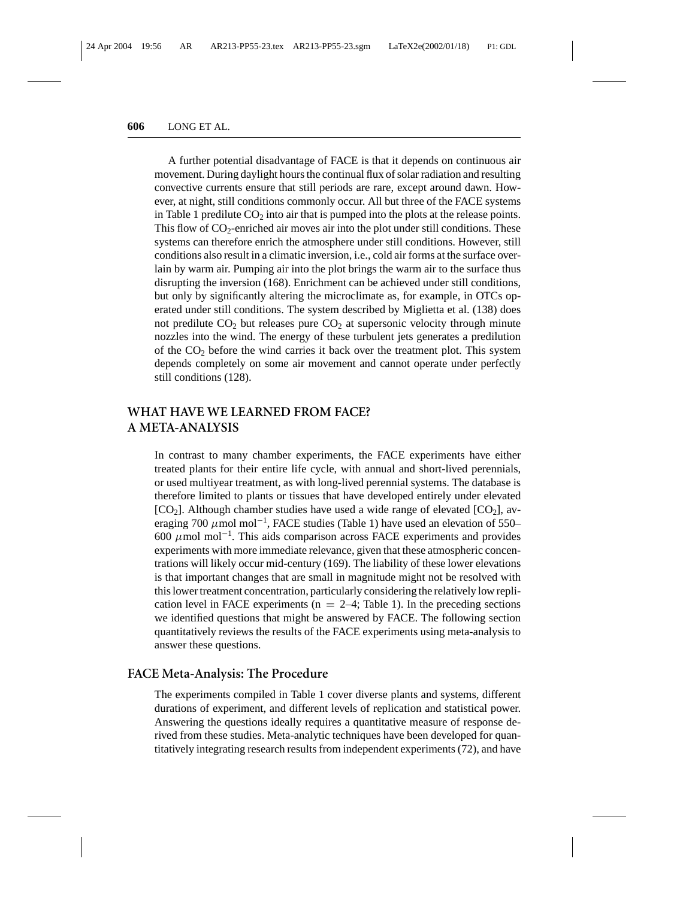A further potential disadvantage of FACE is that it depends on continuous air movement. During daylight hours the continual flux of solar radiation and resulting convective currents ensure that still periods are rare, except around dawn. However, at night, still conditions commonly occur. All but three of the FACE systems in Table 1 predilute  $CO<sub>2</sub>$  into air that is pumped into the plots at the release points. This flow of  $CO_2$ -enriched air moves air into the plot under still conditions. These systems can therefore enrich the atmosphere under still conditions. However, still conditions also result in a climatic inversion, i.e., cold air forms at the surface overlain by warm air. Pumping air into the plot brings the warm air to the surface thus disrupting the inversion (168). Enrichment can be achieved under still conditions, but only by significantly altering the microclimate as, for example, in OTCs operated under still conditions. The system described by Miglietta et al. (138) does not predilute  $CO<sub>2</sub>$  but releases pure  $CO<sub>2</sub>$  at supersonic velocity through minute nozzles into the wind. The energy of these turbulent jets generates a predilution of the  $CO<sub>2</sub>$  before the wind carries it back over the treatment plot. This system depends completely on some air movement and cannot operate under perfectly still conditions (128).

# **WHAT HAVE WE LEARNED FROM FACE? A META-ANALYSIS**

In contrast to many chamber experiments, the FACE experiments have either treated plants for their entire life cycle, with annual and short-lived perennials, or used multiyear treatment, as with long-lived perennial systems. The database is therefore limited to plants or tissues that have developed entirely under elevated  $[CO_2]$ . Although chamber studies have used a wide range of elevated  $[CO_2]$ , averaging 700  $\mu$ mol mol<sup>-1</sup>, FACE studies (Table 1) have used an elevation of 550– 600  $\mu$ mol mol<sup>-1</sup>. This aids comparison across FACE experiments and provides experiments with more immediate relevance, given that these atmospheric concentrations will likely occur mid-century (169). The liability of these lower elevations is that important changes that are small in magnitude might not be resolved with this lower treatment concentration, particularly considering the relatively low replication level in FACE experiments ( $n = 2-4$ ; Table 1). In the preceding sections we identified questions that might be answered by FACE. The following section quantitatively reviews the results of the FACE experiments using meta-analysis to answer these questions.

### **FACE Meta-Analysis: The Procedure**

The experiments compiled in Table 1 cover diverse plants and systems, different durations of experiment, and different levels of replication and statistical power. Answering the questions ideally requires a quantitative measure of response derived from these studies. Meta-analytic techniques have been developed for quantitatively integrating research results from independent experiments (72), and have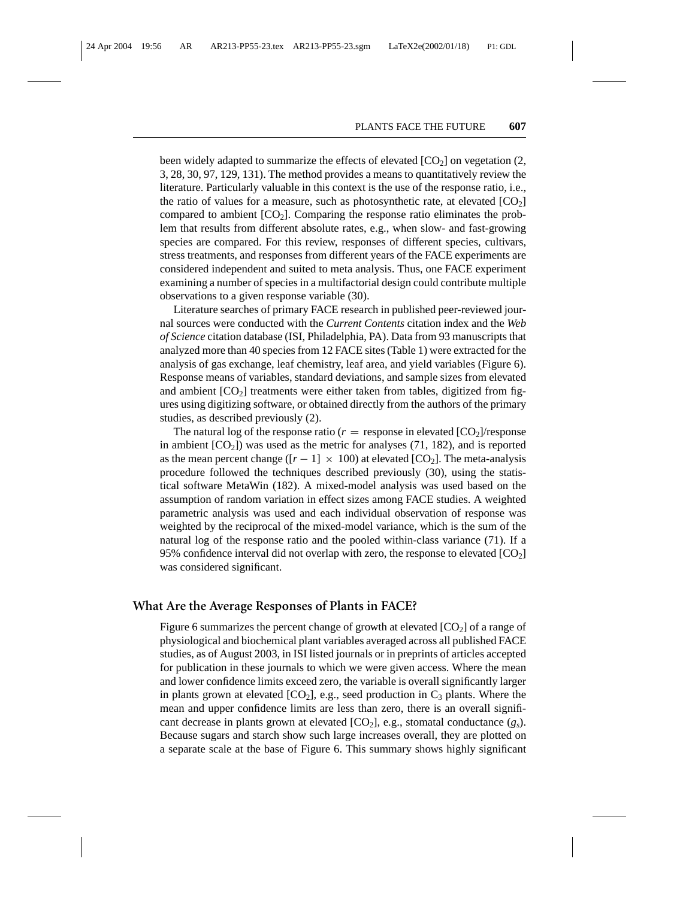been widely adapted to summarize the effects of elevated  $[CO<sub>2</sub>]$  on vegetation (2, 3, 28, 30, 97, 129, 131). The method provides a means to quantitatively review the literature. Particularly valuable in this context is the use of the response ratio, i.e., the ratio of values for a measure, such as photosynthetic rate, at elevated  $[CO<sub>2</sub>]$ compared to ambient  $[CO_2]$ . Comparing the response ratio eliminates the problem that results from different absolute rates, e.g., when slow- and fast-growing species are compared. For this review, responses of different species, cultivars, stress treatments, and responses from different years of the FACE experiments are considered independent and suited to meta analysis. Thus, one FACE experiment examining a number of species in a multifactorial design could contribute multiple observations to a given response variable (30).

Literature searches of primary FACE research in published peer-reviewed journal sources were conducted with the *Current Contents* citation index and the *Web of Science* citation database (ISI, Philadelphia, PA). Data from 93 manuscripts that analyzed more than 40 species from 12 FACE sites (Table 1) were extracted for the analysis of gas exchange, leaf chemistry, leaf area, and yield variables (Figure 6). Response means of variables, standard deviations, and sample sizes from elevated and ambient  $[CO_2]$  treatments were either taken from tables, digitized from figures using digitizing software, or obtained directly from the authors of the primary studies, as described previously (2).

The natural log of the response ratio ( $r =$  response in elevated  $[CO_2]$ /response in ambient  $[CO_2]$ ) was used as the metric for analyses (71, 182), and is reported as the mean percent change ( $[r - 1] \times 100$ ) at elevated  $[CO_2]$ . The meta-analysis procedure followed the techniques described previously (30), using the statistical software MetaWin (182). A mixed-model analysis was used based on the assumption of random variation in effect sizes among FACE studies. A weighted parametric analysis was used and each individual observation of response was weighted by the reciprocal of the mixed-model variance, which is the sum of the natural log of the response ratio and the pooled within-class variance (71). If a 95% confidence interval did not overlap with zero, the response to elevated  $[CO_2]$ was considered significant.

#### **What Are the Average Responses of Plants in FACE?**

Figure 6 summarizes the percent change of growth at elevated  $[CO<sub>2</sub>]$  of a range of physiological and biochemical plant variables averaged across all published FACE studies, as of August 2003, in ISI listed journals or in preprints of articles accepted for publication in these journals to which we were given access. Where the mean and lower confidence limits exceed zero, the variable is overall significantly larger in plants grown at elevated  $[CO_2]$ , e.g., seed production in  $C_3$  plants. Where the mean and upper confidence limits are less than zero, there is an overall significant decrease in plants grown at elevated  $[CO_2]$ , e.g., stomatal conductance  $(g_s)$ . Because sugars and starch show such large increases overall, they are plotted on a separate scale at the base of Figure 6. This summary shows highly significant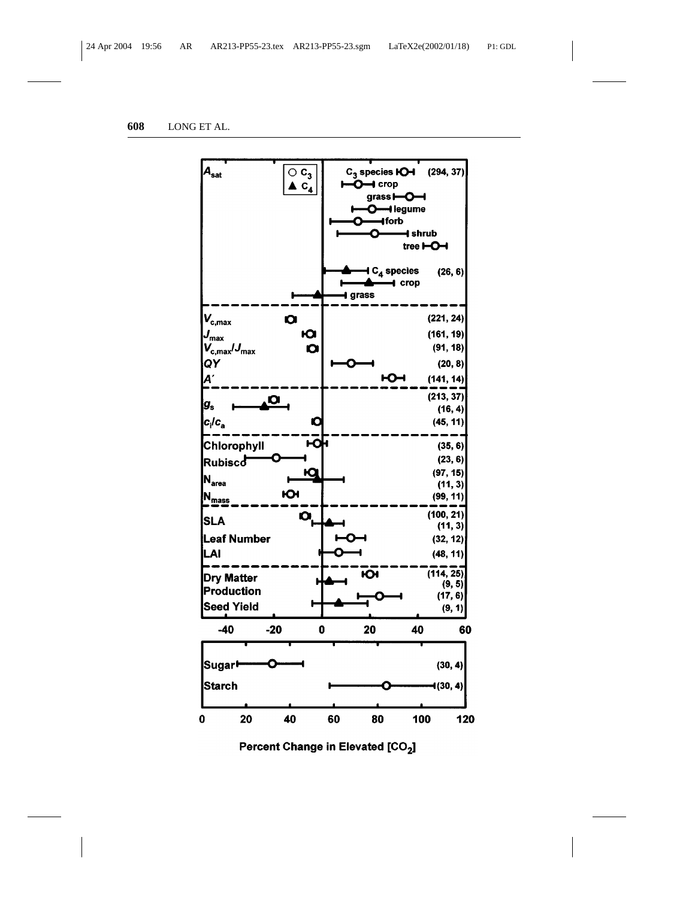

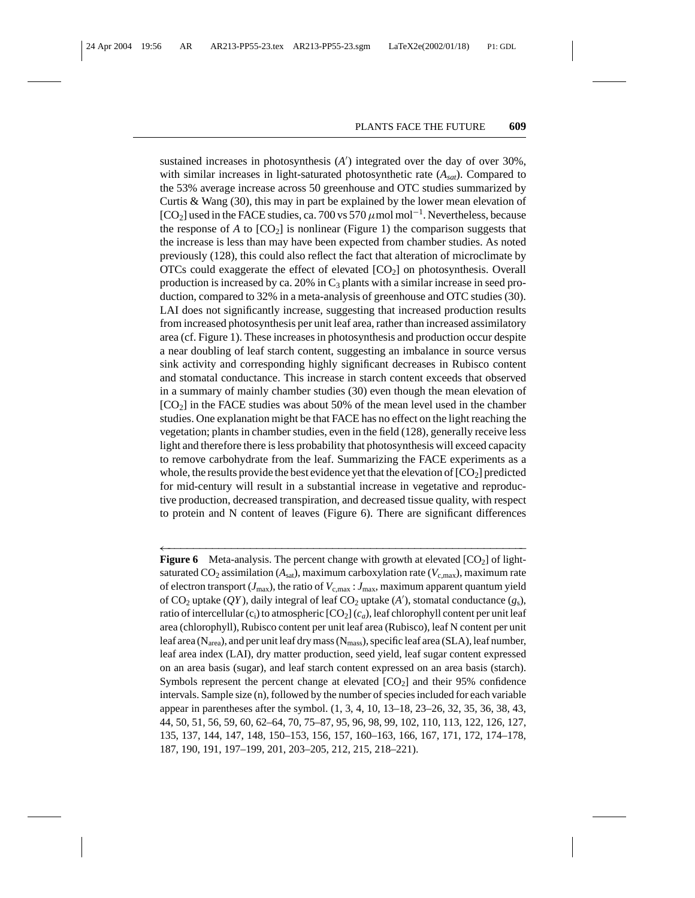sustained increases in photosynthesis  $(A')$  integrated over the day of over 30%, with similar increases in light-saturated photosynthetic rate (*Asat*). Compared to the 53% average increase across 50 greenhouse and OTC studies summarized by Curtis & Wang (30), this may in part be explained by the lower mean elevation of [CO<sub>2</sub>] used in the FACE studies, ca. 700 vs 570  $\mu$  mol mol<sup>-1</sup>. Nevertheless, because the response of  $A$  to  $[CO_2]$  is nonlinear (Figure 1) the comparison suggests that the increase is less than may have been expected from chamber studies. As noted previously (128), this could also reflect the fact that alteration of microclimate by  $OTCs$  could exaggerate the effect of elevated  $[CO<sub>2</sub>]$  on photosynthesis. Overall production is increased by ca. 20% in  $C_3$  plants with a similar increase in seed production, compared to 32% in a meta-analysis of greenhouse and OTC studies (30). LAI does not significantly increase, suggesting that increased production results from increased photosynthesis per unit leaf area, rather than increased assimilatory area (cf. Figure 1). These increases in photosynthesis and production occur despite a near doubling of leaf starch content, suggesting an imbalance in source versus sink activity and corresponding highly significant decreases in Rubisco content and stomatal conductance. This increase in starch content exceeds that observed in a summary of mainly chamber studies (30) even though the mean elevation of  $[CO<sub>2</sub>]$  in the FACE studies was about 50% of the mean level used in the chamber studies. One explanation might be that FACE has no effect on the light reaching the vegetation; plants in chamber studies, even in the field (128), generally receive less light and therefore there is less probability that photosynthesis will exceed capacity to remove carbohydrate from the leaf. Summarizing the FACE experiments as a whole, the results provide the best evidence yet that the elevation of  $[CO_2]$  predicted for mid-century will result in a substantial increase in vegetative and reproductive production, decreased transpiration, and decreased tissue quality, with respect to protein and N content of leaves (Figure 6). There are significant differences

←−−−−−−−−−−−−−−−−−−−−−−−−−−−−−−−−−−−−−−−−−−−−−−−−−−−−−−−−− **Figure 6** Meta-analysis. The percent change with growth at elevated [CO2] of lightsaturated  $CO_2$  assimilation ( $A_{sat}$ ), maximum carboxylation rate ( $V_{c,max}$ ), maximum rate of electron transport ( $J_{\text{max}}$ ), the ratio of  $V_{\text{c,max}}$ :  $J_{\text{max}}$ , maximum apparent quantum yield of  $CO_2$  uptake (*QY*), daily integral of leaf  $CO_2$  uptake (*A'*), stomatal conductance (*g*<sub>s</sub>), ratio of intercellular (c<sub>i</sub>) to atmospheric [CO<sub>2</sub>] (c<sub>a</sub>), leaf chlorophyll content per unit leaf area (chlorophyll), Rubisco content per unit leaf area (Rubisco), leaf N content per unit leaf area (N<sub>area</sub>), and per unit leaf dry mass (N<sub>mass</sub>), specific leaf area (SLA), leaf number, leaf area index (LAI), dry matter production, seed yield, leaf sugar content expressed on an area basis (sugar), and leaf starch content expressed on an area basis (starch). Symbols represent the percent change at elevated  $[CO<sub>2</sub>]$  and their 95% confidence intervals. Sample size (n), followed by the number of species included for each variable appear in parentheses after the symbol. (1, 3, 4, 10, 13–18, 23–26, 32, 35, 36, 38, 43, 44, 50, 51, 56, 59, 60, 62–64, 70, 75–87, 95, 96, 98, 99, 102, 110, 113, 122, 126, 127, 135, 137, 144, 147, 148, 150–153, 156, 157, 160–163, 166, 167, 171, 172, 174–178, 187, 190, 191, 197–199, 201, 203–205, 212, 215, 218–221).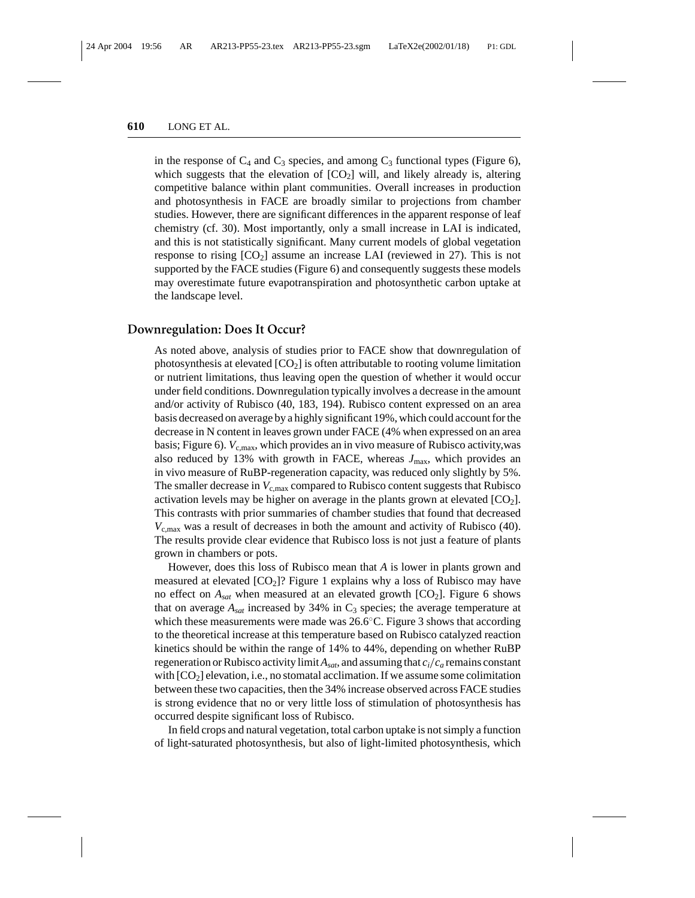in the response of  $C_4$  and  $C_3$  species, and among  $C_3$  functional types (Figure 6), which suggests that the elevation of  $[CO_2]$  will, and likely already is, altering competitive balance within plant communities. Overall increases in production and photosynthesis in FACE are broadly similar to projections from chamber studies. However, there are significant differences in the apparent response of leaf chemistry (cf. 30). Most importantly, only a small increase in LAI is indicated, and this is not statistically significant. Many current models of global vegetation response to rising  $[CO<sub>2</sub>]$  assume an increase LAI (reviewed in 27). This is not supported by the FACE studies (Figure 6) and consequently suggests these models may overestimate future evapotranspiration and photosynthetic carbon uptake at the landscape level.

#### **Downregulation: Does It Occur?**

As noted above, analysis of studies prior to FACE show that downregulation of photosynthesis at elevated  $[CO_2]$  is often attributable to rooting volume limitation or nutrient limitations, thus leaving open the question of whether it would occur under field conditions. Downregulation typically involves a decrease in the amount and/or activity of Rubisco (40, 183, 194). Rubisco content expressed on an area basis decreased on average by a highly significant 19%, which could account for the decrease in N content in leaves grown under FACE (4% when expressed on an area basis; Figure 6).  $V_{\rm c,max}$ , which provides an in vivo measure of Rubisco activity, was also reduced by 13% with growth in FACE, whereas  $J_{\text{max}}$ , which provides an in vivo measure of RuBP-regeneration capacity, was reduced only slightly by 5%. The smaller decrease in  $V_{\rm c,max}$  compared to Rubisco content suggests that Rubisco activation levels may be higher on average in the plants grown at elevated  $[CO<sub>2</sub>]$ . This contrasts with prior summaries of chamber studies that found that decreased *V*c,max was a result of decreases in both the amount and activity of Rubisco (40). The results provide clear evidence that Rubisco loss is not just a feature of plants grown in chambers or pots.

However, does this loss of Rubisco mean that *A* is lower in plants grown and measured at elevated  $[CO_2]$ ? Figure 1 explains why a loss of Rubisco may have no effect on  $A_{sat}$  when measured at an elevated growth  $[CO_2]$ . Figure 6 shows that on average  $A_{sat}$  increased by 34% in  $C_3$  species; the average temperature at which these measurements were made was  $26.6\degree$ C. Figure 3 shows that according to the theoretical increase at this temperature based on Rubisco catalyzed reaction kinetics should be within the range of 14% to 44%, depending on whether RuBP regeneration or Rubisco activity limit  $A_{sat}$ , and assuming that  $c_i/c_a$  remains constant with  $[CO<sub>2</sub>]$  elevation, i.e., no stomatal acclimation. If we assume some colimitation between these two capacities, then the 34% increase observed across FACE studies is strong evidence that no or very little loss of stimulation of photosynthesis has occurred despite significant loss of Rubisco.

In field crops and natural vegetation, total carbon uptake is not simply a function of light-saturated photosynthesis, but also of light-limited photosynthesis, which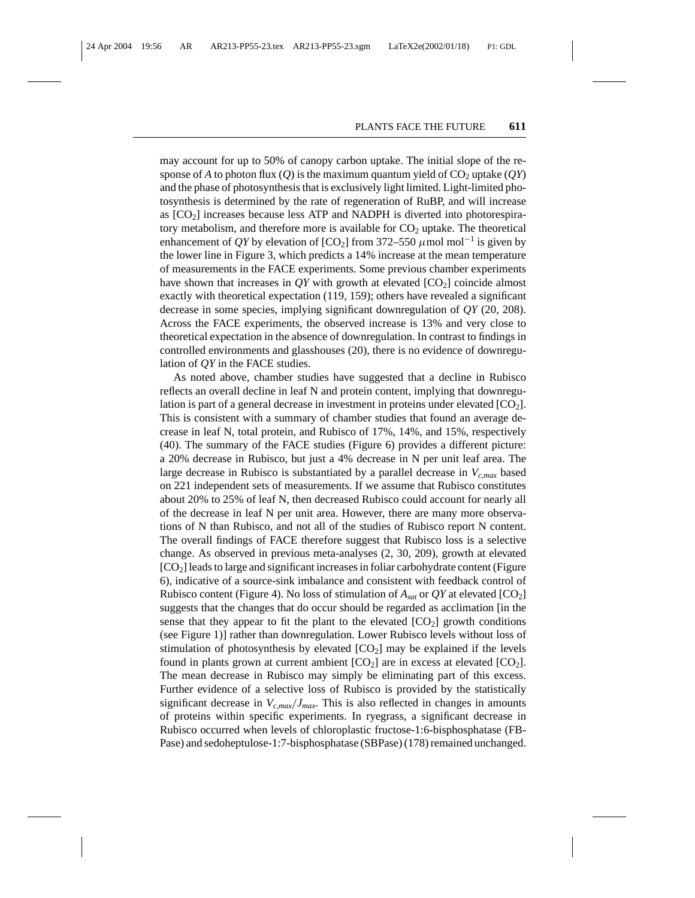may account for up to 50% of canopy carbon uptake. The initial slope of the response of *A* to photon flux (*Q*) is the maximum quantum yield of  $CO<sub>2</sub>$  uptake (*QY*) and the phase of photosynthesis that is exclusively light limited. Light-limited photosynthesis is determined by the rate of regeneration of RuBP, and will increase as  $[CO<sub>2</sub>]$  increases because less ATP and NADPH is diverted into photorespiratory metabolism, and therefore more is available for  $CO<sub>2</sub>$  uptake. The theoretical enhancement of *QY* by elevation of  $[CO_2]$  from 372–550  $\mu$  mol mol<sup>-1</sup> is given by the lower line in Figure 3, which predicts a 14% increase at the mean temperature of measurements in the FACE experiments. Some previous chamber experiments have shown that increases in  $QY$  with growth at elevated  $[CO_2]$  coincide almost exactly with theoretical expectation (119, 159); others have revealed a significant decrease in some species, implying significant downregulation of *QY* (20, 208). Across the FACE experiments, the observed increase is 13% and very close to theoretical expectation in the absence of downregulation. In contrast to findings in controlled environments and glasshouses (20), there is no evidence of downregulation of *QY* in the FACE studies.

As noted above, chamber studies have suggested that a decline in Rubisco reflects an overall decline in leaf N and protein content, implying that downregulation is part of a general decrease in investment in proteins under elevated  $[CO<sub>2</sub>]$ . This is consistent with a summary of chamber studies that found an average decrease in leaf N, total protein, and Rubisco of 17%, 14%, and 15%, respectively (40). The summary of the FACE studies (Figure 6) provides a different picture: a 20% decrease in Rubisco, but just a 4% decrease in N per unit leaf area. The large decrease in Rubisco is substantiated by a parallel decrease in *Vc*,*max* based on 221 independent sets of measurements. If we assume that Rubisco constitutes about 20% to 25% of leaf N, then decreased Rubisco could account for nearly all of the decrease in leaf N per unit area. However, there are many more observations of N than Rubisco, and not all of the studies of Rubisco report N content. The overall findings of FACE therefore suggest that Rubisco loss is a selective change. As observed in previous meta-analyses (2, 30, 209), growth at elevated  $[CO<sub>2</sub>]$  leads to large and significant increases in foliar carbohydrate content (Figure 6), indicative of a source-sink imbalance and consistent with feedback control of Rubisco content (Figure 4). No loss of stimulation of  $A_{sat}$  or  $QY$  at elevated [CO<sub>2</sub>] suggests that the changes that do occur should be regarded as acclimation [in the sense that they appear to fit the plant to the elevated  $[CO_2]$  growth conditions (see Figure 1)] rather than downregulation. Lower Rubisco levels without loss of stimulation of photosynthesis by elevated  $[CO<sub>2</sub>]$  may be explained if the levels found in plants grown at current ambient  $[CO<sub>2</sub>]$  are in excess at elevated  $[CO<sub>2</sub>]$ . The mean decrease in Rubisco may simply be eliminating part of this excess. Further evidence of a selective loss of Rubisco is provided by the statistically significant decrease in  $V_{c,max}/J_{max}$ . This is also reflected in changes in amounts of proteins within specific experiments. In ryegrass, a significant decrease in Rubisco occurred when levels of chloroplastic fructose-1:6-bisphosphatase (FB-Pase) and sedoheptulose-1:7-bisphosphatase (SBPase) (178) remained unchanged.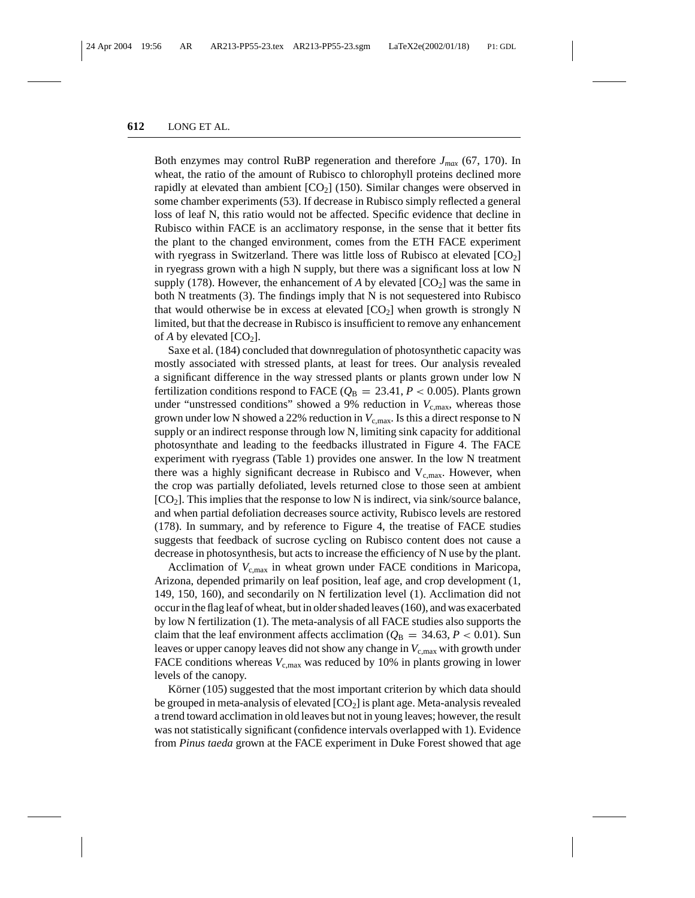Both enzymes may control RuBP regeneration and therefore *Jmax* (67, 170). In wheat, the ratio of the amount of Rubisco to chlorophyll proteins declined more rapidly at elevated than ambient  $[CO<sub>2</sub>]$  (150). Similar changes were observed in some chamber experiments (53). If decrease in Rubisco simply reflected a general loss of leaf N, this ratio would not be affected. Specific evidence that decline in Rubisco within FACE is an acclimatory response, in the sense that it better fits the plant to the changed environment, comes from the ETH FACE experiment with ryegrass in Switzerland. There was little loss of Rubisco at elevated  $[CO<sub>2</sub>]$ in ryegrass grown with a high N supply, but there was a significant loss at low N supply (178). However, the enhancement of  $A$  by elevated  $[CO_2]$  was the same in both N treatments  $(3)$ . The findings imply that N is not sequestered into Rubisco that would otherwise be in excess at elevated  $[CO<sub>2</sub>]$  when growth is strongly N limited, but that the decrease in Rubisco is insufficient to remove any enhancement of *A* by elevated  $[CO_2]$ .

Saxe et al. (184) concluded that downregulation of photosynthetic capacity was mostly associated with stressed plants, at least for trees. Our analysis revealed a significant difference in the way stressed plants or plants grown under low N fertilization conditions respond to FACE ( $Q_B = 23.41$ ,  $P < 0.005$ ). Plants grown under "unstressed conditions" showed a 9% reduction in  $V_{\text{c,max}}$ , whereas those grown under low N showed a 22% reduction in  $V_{c,max}$ . Is this a direct response to N supply or an indirect response through low N, limiting sink capacity for additional photosynthate and leading to the feedbacks illustrated in Figure 4. The FACE experiment with ryegrass (Table 1) provides one answer. In the low N treatment there was a highly significant decrease in Rubisco and  $V_{c,max}$ . However, when the crop was partially defoliated, levels returned close to those seen at ambient  $[CO<sub>2</sub>]$ . This implies that the response to low N is indirect, via sink/source balance, and when partial defoliation decreases source activity, Rubisco levels are restored (178). In summary, and by reference to Figure 4, the treatise of FACE studies suggests that feedback of sucrose cycling on Rubisco content does not cause a decrease in photosynthesis, but acts to increase the efficiency of N use by the plant.

Acclimation of  $V_{\rm c,max}$  in wheat grown under FACE conditions in Maricopa, Arizona, depended primarily on leaf position, leaf age, and crop development (1, 149, 150, 160), and secondarily on N fertilization level (1). Acclimation did not occur in the flag leaf of wheat, but in older shaded leaves (160), and was exacerbated by low N fertilization (1). The meta-analysis of all FACE studies also supports the claim that the leaf environment affects acclimation ( $Q_B = 34.63, P < 0.01$ ). Sun leaves or upper canopy leaves did not show any change in  $V_{c,max}$  with growth under FACE conditions whereas  $V_{c,max}$  was reduced by 10% in plants growing in lower levels of the canopy.

Körner (105) suggested that the most important criterion by which data should be grouped in meta-analysis of elevated  $[CO<sub>2</sub>]$  is plant age. Meta-analysis revealed a trend toward acclimation in old leaves but not in young leaves; however, the result was not statistically significant (confidence intervals overlapped with 1). Evidence from *Pinus taeda* grown at the FACE experiment in Duke Forest showed that age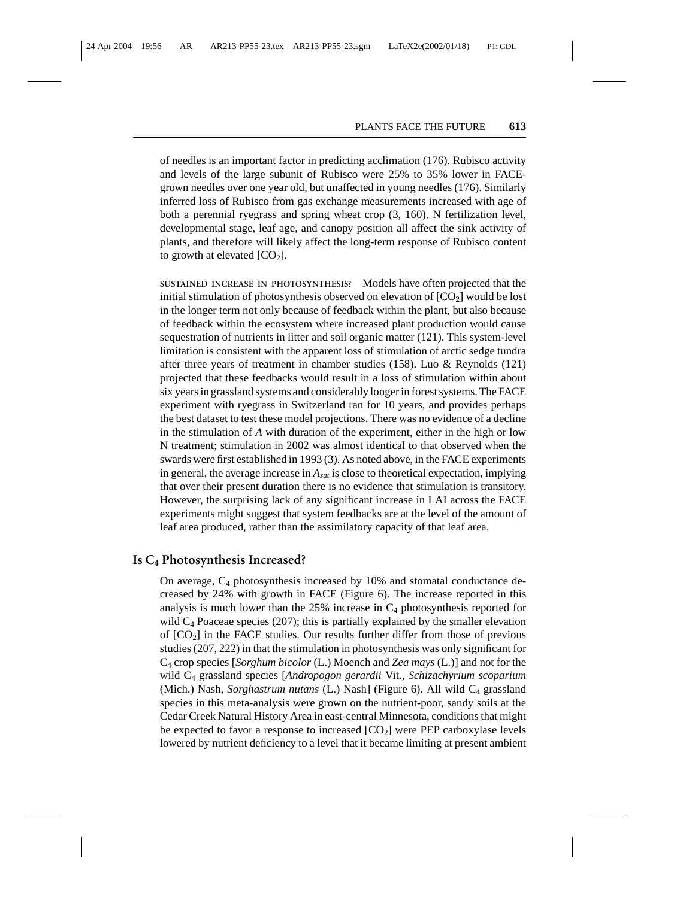of needles is an important factor in predicting acclimation (176). Rubisco activity and levels of the large subunit of Rubisco were 25% to 35% lower in FACEgrown needles over one year old, but unaffected in young needles (176). Similarly inferred loss of Rubisco from gas exchange measurements increased with age of both a perennial ryegrass and spring wheat crop (3, 160). N fertilization level, developmental stage, leaf age, and canopy position all affect the sink activity of plants, and therefore will likely affect the long-term response of Rubisco content to growth at elevated  $[CO<sub>2</sub>]$ .

**SUSTAINED INCREASE IN PHOTOSYNTHESIS?** Models have often projected that the initial stimulation of photosynthesis observed on elevation of  $[CO<sub>2</sub>]$  would be lost in the longer term not only because of feedback within the plant, but also because of feedback within the ecosystem where increased plant production would cause sequestration of nutrients in litter and soil organic matter (121). This system-level limitation is consistent with the apparent loss of stimulation of arctic sedge tundra after three years of treatment in chamber studies (158). Luo & Reynolds (121) projected that these feedbacks would result in a loss of stimulation within about six years in grassland systems and considerably longer in forest systems. The FACE experiment with ryegrass in Switzerland ran for 10 years, and provides perhaps the best dataset to test these model projections. There was no evidence of a decline in the stimulation of *A* with duration of the experiment, either in the high or low N treatment; stimulation in 2002 was almost identical to that observed when the swards were first established in 1993 (3). As noted above, in the FACE experiments in general, the average increase in *Asat* is close to theoretical expectation, implying that over their present duration there is no evidence that stimulation is transitory. However, the surprising lack of any significant increase in LAI across the FACE experiments might suggest that system feedbacks are at the level of the amount of leaf area produced, rather than the assimilatory capacity of that leaf area.

#### **Is C4 Photosynthesis Increased?**

On average,  $C_4$  photosynthesis increased by 10% and stomatal conductance decreased by 24% with growth in FACE (Figure 6). The increase reported in this analysis is much lower than the  $25\%$  increase in  $C_4$  photosynthesis reported for wild  $C_4$  Poaceae species (207); this is partially explained by the smaller elevation of  $[CO<sub>2</sub>]$  in the FACE studies. Our results further differ from those of previous studies (207, 222) in that the stimulation in photosynthesis was only significant for C4 crop species [*Sorghum bicolor* (L.) Moench and *Zea mays* (L.)] and not for the wild C4 grassland species [*Andropogon gerardii* Vit., *Schizachyrium scoparium* (Mich.) Nash, *Sorghastrum nutans* (L.) Nash] (Figure 6). All wild C<sub>4</sub> grassland species in this meta-analysis were grown on the nutrient-poor, sandy soils at the Cedar Creek Natural History Area in east-central Minnesota, conditions that might be expected to favor a response to increased  $[CO<sub>2</sub>]$  were PEP carboxylase levels lowered by nutrient deficiency to a level that it became limiting at present ambient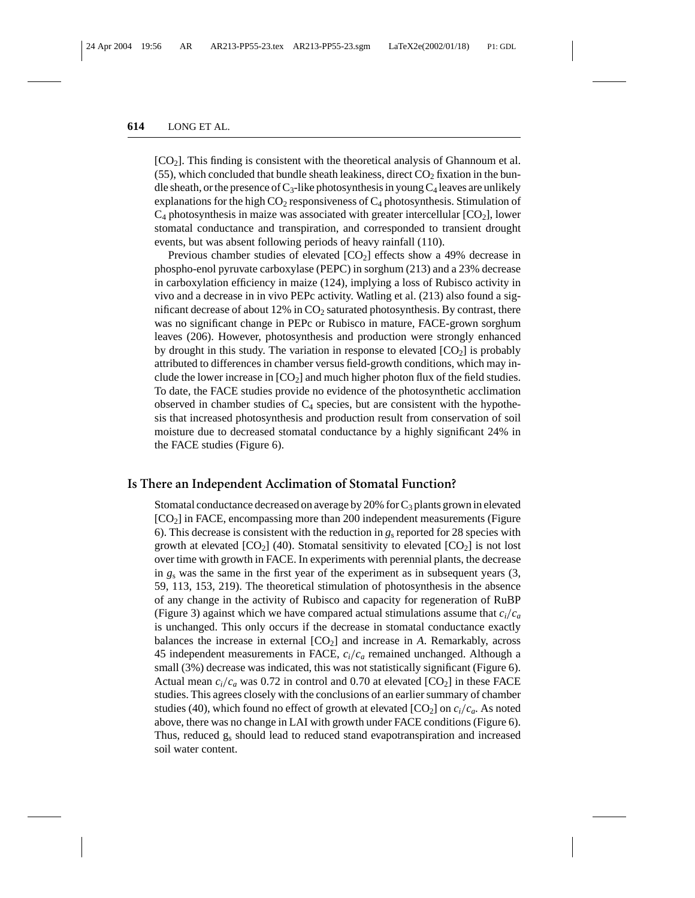[CO2]. This finding is consistent with the theoretical analysis of Ghannoum et al.  $(55)$ , which concluded that bundle sheath leakiness, direct  $CO<sub>2</sub>$  fixation in the bundle sheath, or the presence of  $C_3$ -like photosynthesis in young  $C_4$  leaves are unlikely explanations for the high  $CO_2$  responsiveness of  $C_4$  photosynthesis. Stimulation of  $C_4$  photosynthesis in maize was associated with greater intercellular  $[CO_2]$ , lower stomatal conductance and transpiration, and corresponded to transient drought events, but was absent following periods of heavy rainfall (110).

Previous chamber studies of elevated  $[CO<sub>2</sub>]$  effects show a 49% decrease in phospho-enol pyruvate carboxylase (PEPC) in sorghum (213) and a 23% decrease in carboxylation efficiency in maize (124), implying a loss of Rubisco activity in vivo and a decrease in in vivo PEPc activity. Watling et al. (213) also found a significant decrease of about  $12\%$  in  $CO<sub>2</sub>$  saturated photosynthesis. By contrast, there was no significant change in PEPc or Rubisco in mature, FACE-grown sorghum leaves (206). However, photosynthesis and production were strongly enhanced by drought in this study. The variation in response to elevated  $[CO<sub>2</sub>]$  is probably attributed to differences in chamber versus field-growth conditions, which may include the lower increase in  $[CO<sub>2</sub>]$  and much higher photon flux of the field studies. To date, the FACE studies provide no evidence of the photosynthetic acclimation observed in chamber studies of  $C_4$  species, but are consistent with the hypothesis that increased photosynthesis and production result from conservation of soil moisture due to decreased stomatal conductance by a highly significant 24% in the FACE studies (Figure 6).

#### **Is There an Independent Acclimation of Stomatal Function?**

Stomatal conductance decreased on average by 20% for  $C_3$  plants grown in elevated  $[CO<sub>2</sub>]$  in FACE, encompassing more than 200 independent measurements (Figure 6). This decrease is consistent with the reduction in *g*<sup>s</sup> reported for 28 species with growth at elevated  $[CO_2]$  (40). Stomatal sensitivity to elevated  $[CO_2]$  is not lost over time with growth in FACE. In experiments with perennial plants, the decrease in *g*<sup>s</sup> was the same in the first year of the experiment as in subsequent years (3, 59, 113, 153, 219). The theoretical stimulation of photosynthesis in the absence of any change in the activity of Rubisco and capacity for regeneration of RuBP (Figure 3) against which we have compared actual stimulations assume that  $c_i/c_a$ is unchanged. This only occurs if the decrease in stomatal conductance exactly balances the increase in external  $[CO<sub>2</sub>]$  and increase in *A*. Remarkably, across 45 independent measurements in FACE, *ci*/*ca* remained unchanged. Although a small (3%) decrease was indicated, this was not statistically significant (Figure 6). Actual mean  $c_i/c_a$  was 0.72 in control and 0.70 at elevated  $[CO_2]$  in these FACE studies. This agrees closely with the conclusions of an earlier summary of chamber studies (40), which found no effect of growth at elevated  $[CO_2]$  on  $c_i/c_a$ . As noted above, there was no change in LAI with growth under FACE conditions (Figure 6). Thus, reduced  $g_s$  should lead to reduced stand evapotranspiration and increased soil water content.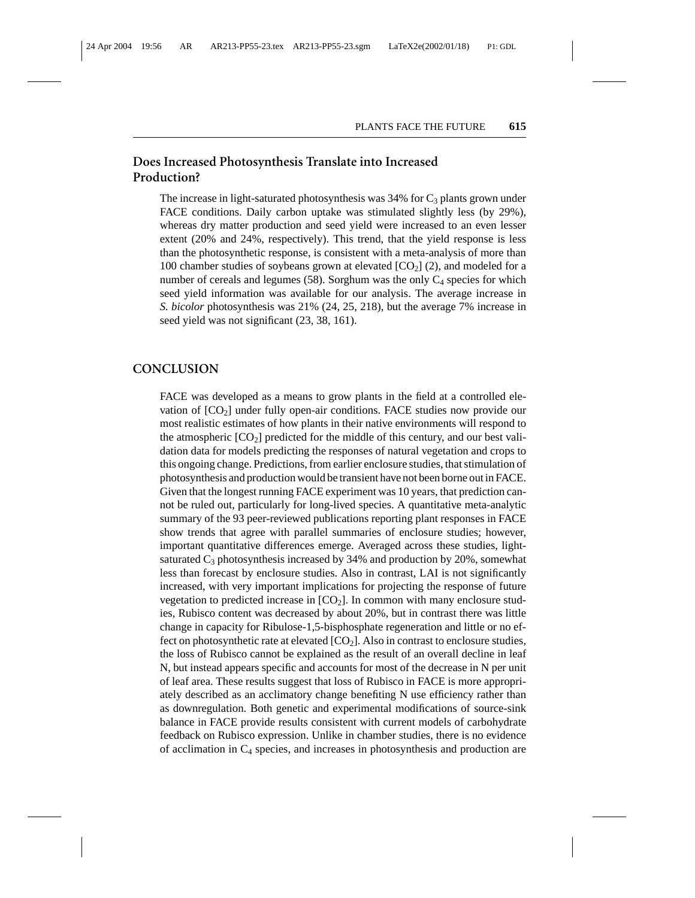### **Does Increased Photosynthesis Translate into Increased Production?**

The increase in light-saturated photosynthesis was  $34\%$  for  $C_3$  plants grown under FACE conditions. Daily carbon uptake was stimulated slightly less (by 29%), whereas dry matter production and seed yield were increased to an even lesser extent (20% and 24%, respectively). This trend, that the yield response is less than the photosynthetic response, is consistent with a meta-analysis of more than 100 chamber studies of soybeans grown at elevated  $[CO<sub>2</sub>]$  (2), and modeled for a number of cereals and legumes  $(58)$ . Sorghum was the only  $C_4$  species for which seed yield information was available for our analysis. The average increase in *S. bicolor* photosynthesis was 21% (24, 25, 218), but the average 7% increase in seed yield was not significant (23, 38, 161).

#### **CONCLUSION**

FACE was developed as a means to grow plants in the field at a controlled elevation of  $[CO<sub>2</sub>]$  under fully open-air conditions. FACE studies now provide our most realistic estimates of how plants in their native environments will respond to the atmospheric  $[CO_2]$  predicted for the middle of this century, and our best validation data for models predicting the responses of natural vegetation and crops to this ongoing change. Predictions, from earlier enclosure studies, that stimulation of photosynthesis and production would be transient have not been borne out in FACE. Given that the longest running FACE experiment was 10 years, that prediction cannot be ruled out, particularly for long-lived species. A quantitative meta-analytic summary of the 93 peer-reviewed publications reporting plant responses in FACE show trends that agree with parallel summaries of enclosure studies; however, important quantitative differences emerge. Averaged across these studies, lightsaturated  $C_3$  photosynthesis increased by 34% and production by 20%, somewhat less than forecast by enclosure studies. Also in contrast, LAI is not significantly increased, with very important implications for projecting the response of future vegetation to predicted increase in  $[CO<sub>2</sub>]$ . In common with many enclosure studies, Rubisco content was decreased by about 20%, but in contrast there was little change in capacity for Ribulose-1,5-bisphosphate regeneration and little or no effect on photosynthetic rate at elevated  $[CO<sub>2</sub>]$ . Also in contrast to enclosure studies, the loss of Rubisco cannot be explained as the result of an overall decline in leaf N, but instead appears specific and accounts for most of the decrease in N per unit of leaf area. These results suggest that loss of Rubisco in FACE is more appropriately described as an acclimatory change benefiting N use efficiency rather than as downregulation. Both genetic and experimental modifications of source-sink balance in FACE provide results consistent with current models of carbohydrate feedback on Rubisco expression. Unlike in chamber studies, there is no evidence of acclimation in  $C_4$  species, and increases in photosynthesis and production are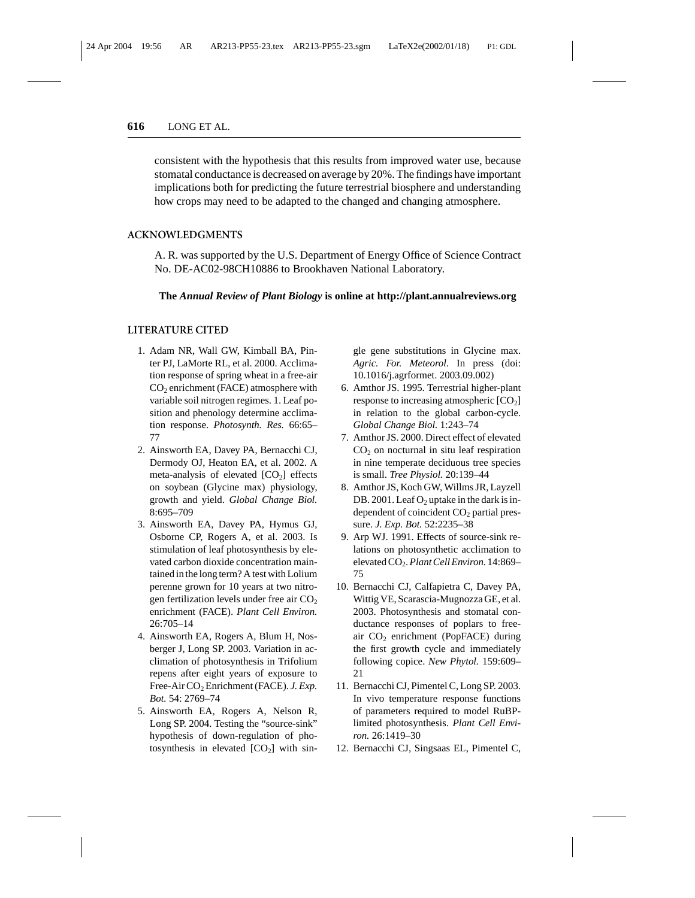consistent with the hypothesis that this results from improved water use, because stomatal conductance is decreased on average by 20%. The findings have important implications both for predicting the future terrestrial biosphere and understanding how crops may need to be adapted to the changed and changing atmosphere.

#### **ACKNOWLEDGMENTS**

A. R. was supported by the U.S. Department of Energy Office of Science Contract No. DE-AC02-98CH10886 to Brookhaven National Laboratory.

#### **The** *Annual Review of Plant Biology* **is online at http://plant.annualreviews.org**

#### **LITERATURE CITED**

- 1. Adam NR, Wall GW, Kimball BA, Pinter PJ, LaMorte RL, et al. 2000. Acclimation response of spring wheat in a free-air  $CO<sub>2</sub>$  enrichment (FACE) atmosphere with variable soil nitrogen regimes. 1. Leaf position and phenology determine acclimation response. *Photosynth. Res.* 66:65– 77
- 2. Ainsworth EA, Davey PA, Bernacchi CJ, Dermody OJ, Heaton EA, et al. 2002. A meta-analysis of elevated  $[CO<sub>2</sub>]$  effects on soybean (Glycine max) physiology, growth and yield. *Global Change Biol.* 8:695–709
- 3. Ainsworth EA, Davey PA, Hymus GJ, Osborne CP, Rogers A, et al. 2003. Is stimulation of leaf photosynthesis by elevated carbon dioxide concentration maintained in the long term? A test with Lolium perenne grown for 10 years at two nitrogen fertilization levels under free air  $CO<sub>2</sub>$ enrichment (FACE). *Plant Cell Environ.* 26:705–14
- 4. Ainsworth EA, Rogers A, Blum H, Nosberger J, Long SP. 2003. Variation in acclimation of photosynthesis in Trifolium repens after eight years of exposure to Free-Air CO<sub>2</sub> Enrichment (FACE). *J. Exp. Bot.* 54: 2769–74
- 5. Ainsworth EA, Rogers A, Nelson R, Long SP. 2004. Testing the "source-sink" hypothesis of down-regulation of photosynthesis in elevated  $[CO<sub>2</sub>]$  with sin-

gle gene substitutions in Glycine max. *Agric. For. Meteorol.* In press (doi: 10.1016/j.agrformet. 2003.09.002)

- 6. Amthor JS. 1995. Terrestrial higher-plant response to increasing atmospheric  $[CO<sub>2</sub>]$ in relation to the global carbon-cycle. *Global Change Biol.* 1:243–74
- 7. Amthor JS. 2000. Direct effect of elevated  $CO<sub>2</sub>$  on nocturnal in situ leaf respiration in nine temperate deciduous tree species is small. *Tree Physiol.* 20:139–44
- 8. Amthor JS, Koch GW, Willms JR, Layzell DB. 2001. Leaf  $O_2$  uptake in the dark is independent of coincident  $CO<sub>2</sub>$  partial pressure. *J. Exp. Bot.* 52:2235–38
- 9. Arp WJ. 1991. Effects of source-sink relations on photosynthetic acclimation to elevated CO2.*Plant Cell Environ.* 14:869– 75
- 10. Bernacchi CJ, Calfapietra C, Davey PA, Wittig VE, Scarascia-Mugnozza GE, et al. 2003. Photosynthesis and stomatal conductance responses of poplars to freeair CO<sub>2</sub> enrichment (PopFACE) during the first growth cycle and immediately following copice. *New Phytol.* 159:609– 21
- 11. Bernacchi CJ, Pimentel C, Long SP. 2003. In vivo temperature response functions of parameters required to model RuBPlimited photosynthesis. *Plant Cell Environ.* 26:1419–30
- 12. Bernacchi CJ, Singsaas EL, Pimentel C,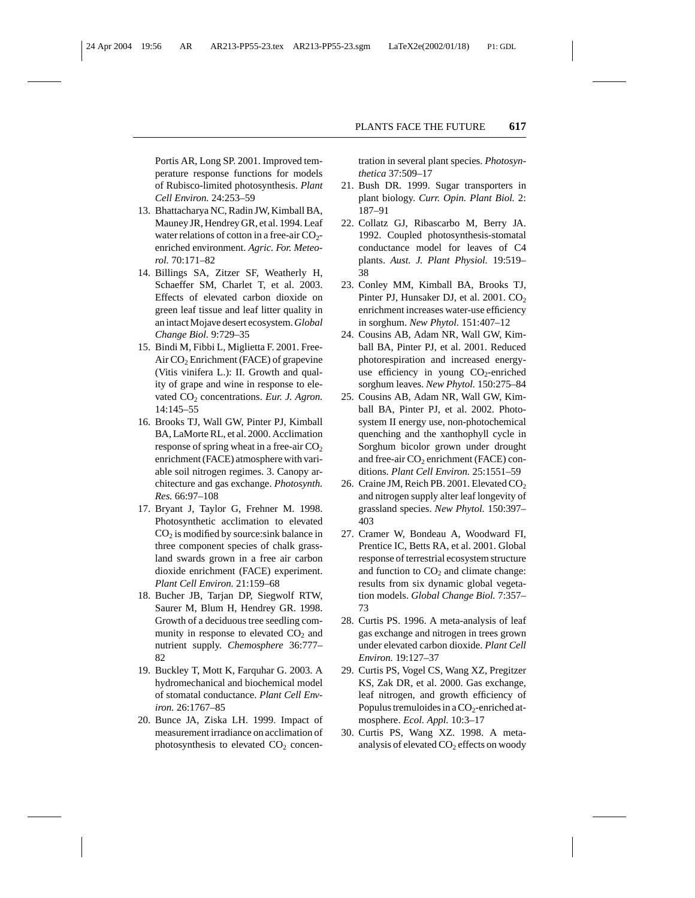Portis AR, Long SP. 2001. Improved temperature response functions for models of Rubisco-limited photosynthesis. *Plant Cell Environ.* 24:253–59

- 13. Bhattacharya NC, Radin JW, Kimball BA, Mauney JR, Hendrey GR, et al. 1994. Leaf water relations of cotton in a free-air  $CO<sub>2</sub>$ enriched environment. *Agric. For. Meteorol.* 70:171–82
- 14. Billings SA, Zitzer SF, Weatherly H, Schaeffer SM, Charlet T, et al. 2003. Effects of elevated carbon dioxide on green leaf tissue and leaf litter quality in an intact Mojave desert ecosystem.*Global Change Biol.* 9:729–35
- 15. Bindi M, Fibbi L, Miglietta F. 2001. Free-Air  $CO<sub>2</sub>$  Enrichment (FACE) of grapevine (Vitis vinifera L.): II. Growth and quality of grape and wine in response to elevated CO<sub>2</sub> concentrations. *Eur. J. Agron.* 14:145–55
- 16. Brooks TJ, Wall GW, Pinter PJ, Kimball BA, LaMorte RL, et al. 2000. Acclimation response of spring wheat in a free-air  $CO<sub>2</sub>$ enrichment (FACE) atmosphere with variable soil nitrogen regimes. 3. Canopy architecture and gas exchange. *Photosynth. Res.* 66:97–108
- 17. Bryant J, Taylor G, Frehner M. 1998. Photosynthetic acclimation to elevated  $CO<sub>2</sub>$  is modified by source:sink balance in three component species of chalk grassland swards grown in a free air carbon dioxide enrichment (FACE) experiment. *Plant Cell Environ.* 21:159–68
- 18. Bucher JB, Tarjan DP, Siegwolf RTW, Saurer M, Blum H, Hendrey GR. 1998. Growth of a deciduous tree seedling community in response to elevated  $CO<sub>2</sub>$  and nutrient supply. *Chemosphere* 36:777– 82
- 19. Buckley T, Mott K, Farquhar G. 2003. A hydromechanical and biochemical model of stomatal conductance. *Plant Cell Environ.* 26:1767–85
- 20. Bunce JA, Ziska LH. 1999. Impact of measurement irradiance on acclimation of photosynthesis to elevated  $CO<sub>2</sub>$  concen-

tration in several plant species. *Photosynthetica* 37:509–17

- 21. Bush DR. 1999. Sugar transporters in plant biology. *Curr. Opin. Plant Biol.* 2: 187–91
- 22. Collatz GJ, Ribascarbo M, Berry JA. 1992. Coupled photosynthesis-stomatal conductance model for leaves of C4 plants. *Aust. J. Plant Physiol.* 19:519– 38
- 23. Conley MM, Kimball BA, Brooks TJ, Pinter PJ, Hunsaker DJ, et al. 2001.  $CO<sub>2</sub>$ enrichment increases water-use efficiency in sorghum. *New Phytol.* 151:407–12
- 24. Cousins AB, Adam NR, Wall GW, Kimball BA, Pinter PJ, et al. 2001. Reduced photorespiration and increased energyuse efficiency in young  $CO<sub>2</sub>$ -enriched sorghum leaves. *New Phytol.* 150:275–84
- 25. Cousins AB, Adam NR, Wall GW, Kimball BA, Pinter PJ, et al. 2002. Photosystem II energy use, non-photochemical quenching and the xanthophyll cycle in Sorghum bicolor grown under drought and free-air  $CO<sub>2</sub>$  enrichment (FACE) conditions. *Plant Cell Environ.* 25:1551–59
- 26. Craine JM, Reich PB. 2001. Elevated  $CO<sub>2</sub>$ and nitrogen supply alter leaf longevity of grassland species. *New Phytol.* 150:397– 403
- 27. Cramer W, Bondeau A, Woodward FI, Prentice IC, Betts RA, et al. 2001. Global response of terrestrial ecosystem structure and function to  $CO<sub>2</sub>$  and climate change: results from six dynamic global vegetation models. *Global Change Biol.* 7:357– 73
- 28. Curtis PS. 1996. A meta-analysis of leaf gas exchange and nitrogen in trees grown under elevated carbon dioxide. *Plant Cell Environ.* 19:127–37
- 29. Curtis PS, Vogel CS, Wang XZ, Pregitzer KS, Zak DR, et al. 2000. Gas exchange, leaf nitrogen, and growth efficiency of Populus tremuloides in a  $CO<sub>2</sub>$ -enriched atmosphere. *Ecol. Appl.* 10:3–17
- 30. Curtis PS, Wang XZ. 1998. A metaanalysis of elevated  $CO<sub>2</sub>$  effects on woody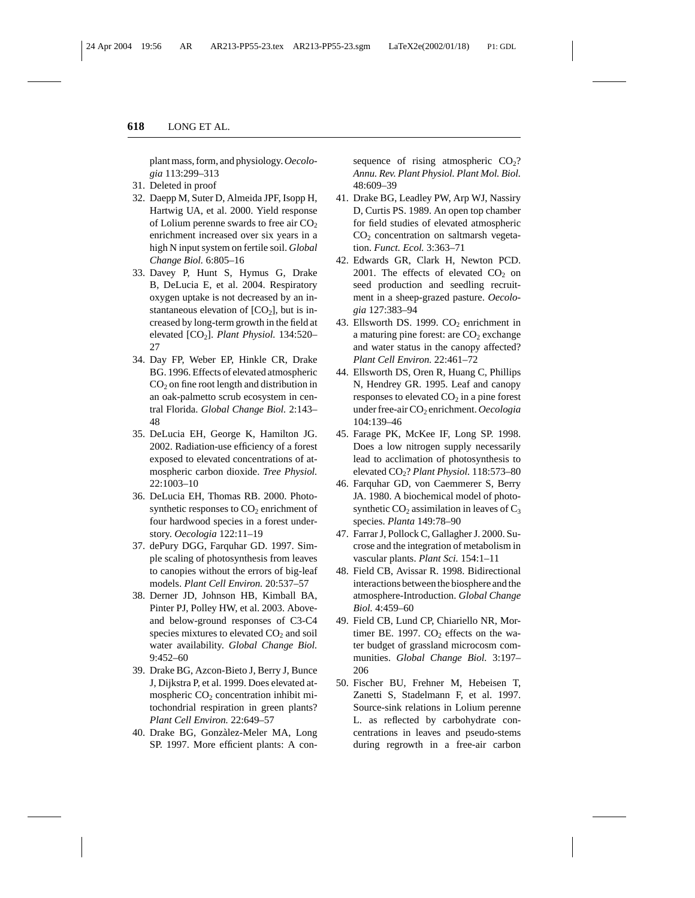plant mass, form, and physiology.*Oecologia* 113:299–313

- 31. Deleted in proof
- 32. Daepp M, Suter D, Almeida JPF, Isopp H, Hartwig UA, et al. 2000. Yield response of Lolium perenne swards to free air  $CO<sub>2</sub>$ enrichment increased over six years in a high N input system on fertile soil. *Global Change Biol.* 6:805–16
- 33. Davey P, Hunt S, Hymus G, Drake B, DeLucia E, et al. 2004. Respiratory oxygen uptake is not decreased by an instantaneous elevation of  $[CO<sub>2</sub>]$ , but is increased by long-term growth in the field at elevated [CO<sub>2</sub>]. *Plant Physiol.* 134:520-27
- 34. Day FP, Weber EP, Hinkle CR, Drake BG. 1996. Effects of elevated atmospheric  $CO<sub>2</sub>$  on fine root length and distribution in an oak-palmetto scrub ecosystem in central Florida. *Global Change Biol.* 2:143– 48
- 35. DeLucia EH, George K, Hamilton JG. 2002. Radiation-use efficiency of a forest exposed to elevated concentrations of atmospheric carbon dioxide. *Tree Physiol.* 22:1003–10
- 36. DeLucia EH, Thomas RB. 2000. Photosynthetic responses to  $CO<sub>2</sub>$  enrichment of four hardwood species in a forest understory. *Oecologia* 122:11–19
- 37. dePury DGG, Farquhar GD. 1997. Simple scaling of photosynthesis from leaves to canopies without the errors of big-leaf models. *Plant Cell Environ.* 20:537–57
- 38. Derner JD, Johnson HB, Kimball BA, Pinter PJ, Polley HW, et al. 2003. Aboveand below-ground responses of C3-C4 species mixtures to elevated  $CO<sub>2</sub>$  and soil water availability. *Global Change Biol.* 9:452–60
- 39. Drake BG, Azcon-Bieto J, Berry J, Bunce J, Dijkstra P, et al. 1999. Does elevated atmospheric  $CO<sub>2</sub>$  concentration inhibit mitochondrial respiration in green plants? *Plant Cell Environ.* 22:649–57
- 40. Drake BG, Gonzàlez-Meler MA, Long SP. 1997. More efficient plants: A con-

sequence of rising atmospheric  $CO<sub>2</sub>$ ? *Annu. Rev. Plant Physiol. Plant Mol. Biol.* 48:609–39

- 41. Drake BG, Leadley PW, Arp WJ, Nassiry D, Curtis PS. 1989. An open top chamber for field studies of elevated atmospheric  $CO<sub>2</sub>$  concentration on saltmarsh vegetation. *Funct. Ecol.* 3:363–71
- 42. Edwards GR, Clark H, Newton PCD. 2001. The effects of elevated  $CO<sub>2</sub>$  on seed production and seedling recruitment in a sheep-grazed pasture. *Oecologia* 127:383–94
- 43. Ellsworth DS. 1999.  $CO<sub>2</sub>$  enrichment in a maturing pine forest: are  $CO<sub>2</sub>$  exchange and water status in the canopy affected? *Plant Cell Environ.* 22:461–72
- 44. Ellsworth DS, Oren R, Huang C, Phillips N, Hendrey GR. 1995. Leaf and canopy responses to elevated  $CO<sub>2</sub>$  in a pine forest under free-air CO<sub>2</sub> enrichment. Oecologia 104:139–46
- 45. Farage PK, McKee IF, Long SP. 1998. Does a low nitrogen supply necessarily lead to acclimation of photosynthesis to elevated CO2? *Plant Physiol.* 118:573–80
- 46. Farquhar GD, von Caemmerer S, Berry JA. 1980. A biochemical model of photosynthetic  $CO<sub>2</sub>$  assimilation in leaves of  $C<sub>3</sub>$ species. *Planta* 149:78–90
- 47. Farrar J, Pollock C, Gallagher J. 2000. Sucrose and the integration of metabolism in vascular plants. *Plant Sci.* 154:1–11
- 48. Field CB, Avissar R. 1998. Bidirectional interactions between the biosphere and the atmosphere-Introduction. *Global Change Biol.* 4:459–60
- 49. Field CB, Lund CP, Chiariello NR, Mortimer BE. 1997.  $CO<sub>2</sub>$  effects on the water budget of grassland microcosm communities. *Global Change Biol.* 3:197– 206
- 50. Fischer BU, Frehner M, Hebeisen T, Zanetti S, Stadelmann F, et al. 1997. Source-sink relations in Lolium perenne L. as reflected by carbohydrate concentrations in leaves and pseudo-stems during regrowth in a free-air carbon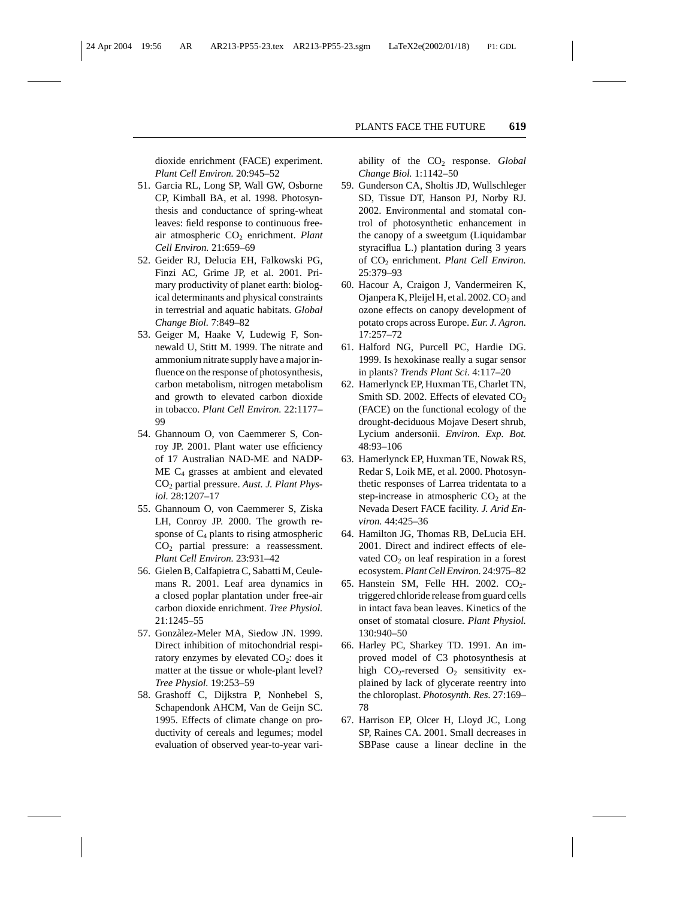dioxide enrichment (FACE) experiment. *Plant Cell Environ.* 20:945–52

- 51. Garcia RL, Long SP, Wall GW, Osborne CP, Kimball BA, et al. 1998. Photosynthesis and conductance of spring-wheat leaves: field response to continuous freeair atmospheric CO<sub>2</sub> enrichment. *Plant Cell Environ.* 21:659–69
- 52. Geider RJ, Delucia EH, Falkowski PG, Finzi AC, Grime JP, et al. 2001. Primary productivity of planet earth: biological determinants and physical constraints in terrestrial and aquatic habitats. *Global Change Biol.* 7:849–82
- 53. Geiger M, Haake V, Ludewig F, Sonnewald U, Stitt M. 1999. The nitrate and ammonium nitrate supply have a major influence on the response of photosynthesis, carbon metabolism, nitrogen metabolism and growth to elevated carbon dioxide in tobacco. *Plant Cell Environ.* 22:1177– 99
- 54. Ghannoum O, von Caemmerer S, Conroy JP. 2001. Plant water use efficiency of 17 Australian NAD-ME and NADP-ME C4 grasses at ambient and elevated CO<sub>2</sub> partial pressure. Aust. J. Plant Phys*iol.* 28:1207–17
- 55. Ghannoum O, von Caemmerer S, Ziska LH, Conroy JP. 2000. The growth response of  $C_4$  plants to rising atmospheric CO<sub>2</sub> partial pressure: a reassessment. *Plant Cell Environ.* 23:931–42
- 56. Gielen B, Calfapietra C, Sabatti M, Ceulemans R. 2001. Leaf area dynamics in a closed poplar plantation under free-air carbon dioxide enrichment. *Tree Physiol.* 21:1245–55
- 57. Gonzàlez-Meler MA, Siedow JN. 1999. Direct inhibition of mitochondrial respiratory enzymes by elevated  $CO<sub>2</sub>$ : does it matter at the tissue or whole-plant level? *Tree Physiol.* 19:253–59
- 58. Grashoff C, Dijkstra P, Nonhebel S, Schapendonk AHCM, Van de Geijn SC. 1995. Effects of climate change on productivity of cereals and legumes; model evaluation of observed year-to-year vari-

ability of the CO2 response. *Global Change Biol.* 1:1142–50

- 59. Gunderson CA, Sholtis JD, Wullschleger SD, Tissue DT, Hanson PJ, Norby RJ. 2002. Environmental and stomatal control of photosynthetic enhancement in the canopy of a sweetgum (Liquidambar styraciflua L.) plantation during 3 years of CO2 enrichment. *Plant Cell Environ.* 25:379–93
- 60. Hacour A, Craigon J, Vandermeiren K, Ojanpera K, Pleijel H, et al. 2002.  $CO<sub>2</sub>$  and ozone effects on canopy development of potato crops across Europe. *Eur. J. Agron.* 17:257–72
- 61. Halford NG, Purcell PC, Hardie DG. 1999. Is hexokinase really a sugar sensor in plants? *Trends Plant Sci.* 4:117–20
- 62. Hamerlynck EP, Huxman TE, Charlet TN, Smith SD. 2002. Effects of elevated  $CO<sub>2</sub>$ (FACE) on the functional ecology of the drought-deciduous Mojave Desert shrub, Lycium andersonii. *Environ. Exp. Bot.* 48:93–106
- 63. Hamerlynck EP, Huxman TE, Nowak RS, Redar S, Loik ME, et al. 2000. Photosynthetic responses of Larrea tridentata to a step-increase in atmospheric  $CO<sub>2</sub>$  at the Nevada Desert FACE facility. *J. Arid Environ.* 44:425–36
- 64. Hamilton JG, Thomas RB, DeLucia EH. 2001. Direct and indirect effects of elevated  $CO<sub>2</sub>$  on leaf respiration in a forest ecosystem.*Plant Cell Environ.* 24:975–82
- 65. Hanstein SM, Felle HH. 2002.  $CO<sub>2</sub>$ triggered chloride release from guard cells in intact fava bean leaves. Kinetics of the onset of stomatal closure. *Plant Physiol.* 130:940–50
- 66. Harley PC, Sharkey TD. 1991. An improved model of C3 photosynthesis at high  $CO_2$ -reversed  $O_2$  sensitivity explained by lack of glycerate reentry into the chloroplast. *Photosynth. Res.* 27:169– 78
- 67. Harrison EP, Olcer H, Lloyd JC, Long SP, Raines CA. 2001. Small decreases in SBPase cause a linear decline in the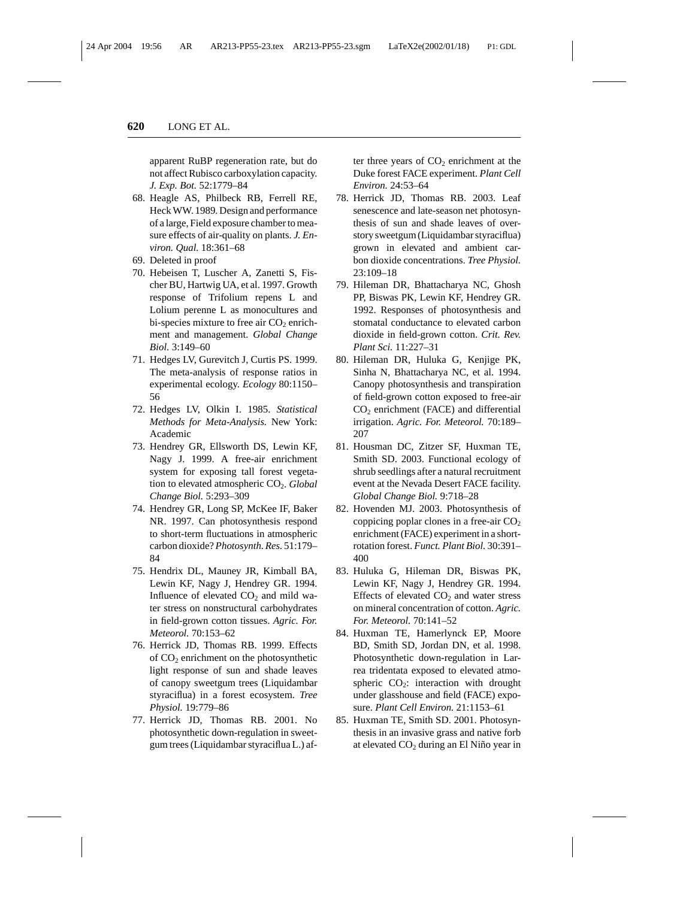apparent RuBP regeneration rate, but do not affect Rubisco carboxylation capacity. *J. Exp. Bot.* 52:1779–84

- 68. Heagle AS, Philbeck RB, Ferrell RE, Heck WW. 1989. Design and performance of a large, Field exposure chamber to measure effects of air-quality on plants. *J. Environ. Qual.* 18:361–68
- 69. Deleted in proof
- 70. Hebeisen T, Luscher A, Zanetti S, Fischer BU, Hartwig UA, et al. 1997. Growth response of Trifolium repens L and Lolium perenne L as monocultures and bi-species mixture to free air  $CO<sub>2</sub>$  enrichment and management. *Global Change Biol.* 3:149–60
- 71. Hedges LV, Gurevitch J, Curtis PS. 1999. The meta-analysis of response ratios in experimental ecology. *Ecology* 80:1150– 56
- 72. Hedges LV, Olkin I. 1985. *Statistical Methods for Meta-Analysis.* New York: Academic
- 73. Hendrey GR, Ellsworth DS, Lewin KF, Nagy J. 1999. A free-air enrichment system for exposing tall forest vegetation to elevated atmospheric CO<sub>2</sub>. *Global Change Biol.* 5:293–309
- 74. Hendrey GR, Long SP, McKee IF, Baker NR. 1997. Can photosynthesis respond to short-term fluctuations in atmospheric carbon dioxide?*Photosynth. Res.* 51:179– 84
- 75. Hendrix DL, Mauney JR, Kimball BA, Lewin KF, Nagy J, Hendrey GR. 1994. Influence of elevated  $CO<sub>2</sub>$  and mild water stress on nonstructural carbohydrates in field-grown cotton tissues. *Agric. For. Meteorol.* 70:153–62
- 76. Herrick JD, Thomas RB. 1999. Effects of CO<sub>2</sub> enrichment on the photosynthetic light response of sun and shade leaves of canopy sweetgum trees (Liquidambar styraciflua) in a forest ecosystem. *Tree Physiol.* 19:779–86
- 77. Herrick JD, Thomas RB. 2001. No photosynthetic down-regulation in sweetgum trees (Liquidambar styraciflua L.) af-

ter three years of  $CO<sub>2</sub>$  enrichment at the Duke forest FACE experiment. *Plant Cell Environ.* 24:53–64

- 78. Herrick JD, Thomas RB. 2003. Leaf senescence and late-season net photosynthesis of sun and shade leaves of overstory sweetgum (Liquidambar styraciflua) grown in elevated and ambient carbon dioxide concentrations. *Tree Physiol.* 23:109–18
- 79. Hileman DR, Bhattacharya NC, Ghosh PP, Biswas PK, Lewin KF, Hendrey GR. 1992. Responses of photosynthesis and stomatal conductance to elevated carbon dioxide in field-grown cotton. *Crit. Rev. Plant Sci.* 11:227–31
- 80. Hileman DR, Huluka G, Kenjige PK, Sinha N, Bhattacharya NC, et al. 1994. Canopy photosynthesis and transpiration of field-grown cotton exposed to free-air  $CO<sub>2</sub>$  enrichment (FACE) and differential irrigation. *Agric. For. Meteorol.* 70:189– 207
- 81. Housman DC, Zitzer SF, Huxman TE, Smith SD. 2003. Functional ecology of shrub seedlings after a natural recruitment event at the Nevada Desert FACE facility. *Global Change Biol.* 9:718–28
- 82. Hovenden MJ. 2003. Photosynthesis of coppicing poplar clones in a free-air  $CO<sub>2</sub>$ enrichment (FACE) experiment in a shortrotation forest. *Funct. Plant Biol.* 30:391– 400
- 83. Huluka G, Hileman DR, Biswas PK, Lewin KF, Nagy J, Hendrey GR. 1994. Effects of elevated  $CO<sub>2</sub>$  and water stress on mineral concentration of cotton. *Agric. For. Meteorol.* 70:141–52
- 84. Huxman TE, Hamerlynck EP, Moore BD, Smith SD, Jordan DN, et al. 1998. Photosynthetic down-regulation in Larrea tridentata exposed to elevated atmospheric  $CO<sub>2</sub>$ : interaction with drought under glasshouse and field (FACE) exposure. *Plant Cell Environ.* 21:1153–61
- 85. Huxman TE, Smith SD. 2001. Photosynthesis in an invasive grass and native forb at elevated  $CO<sub>2</sub>$  during an El Niño year in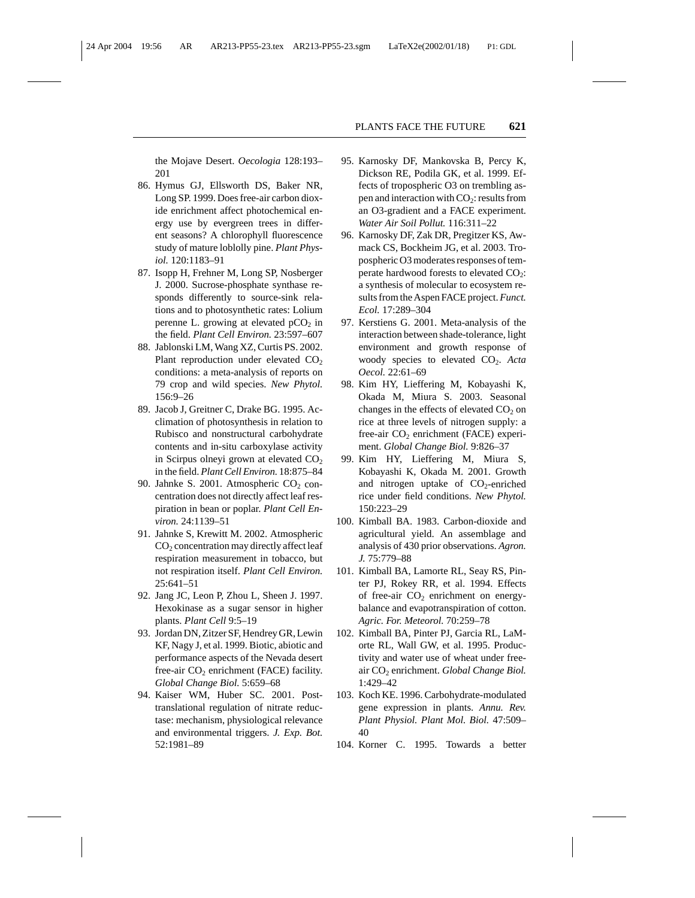the Mojave Desert. *Oecologia* 128:193– 201

- 86. Hymus GJ, Ellsworth DS, Baker NR, Long SP. 1999. Does free-air carbon dioxide enrichment affect photochemical energy use by evergreen trees in different seasons? A chlorophyll fluorescence study of mature loblolly pine. *Plant Physiol.* 120:1183–91
- 87. Isopp H, Frehner M, Long SP, Nosberger J. 2000. Sucrose-phosphate synthase responds differently to source-sink relations and to photosynthetic rates: Lolium perenne L. growing at elevated  $pCO<sub>2</sub>$  in the field. *Plant Cell Environ.* 23:597–607
- 88. Jablonski LM, Wang XZ, Curtis PS. 2002. Plant reproduction under elevated  $CO<sub>2</sub>$ conditions: a meta-analysis of reports on 79 crop and wild species. *New Phytol.* 156:9–26
- 89. Jacob J, Greitner C, Drake BG. 1995. Acclimation of photosynthesis in relation to Rubisco and nonstructural carbohydrate contents and in-situ carboxylase activity in Scirpus olneyi grown at elevated  $CO<sub>2</sub>$ in the field. *Plant Cell Environ.* 18:875–84
- 90. Jahnke S. 2001. Atmospheric  $CO<sub>2</sub>$  concentration does not directly affect leaf respiration in bean or poplar. *Plant Cell Environ.* 24:1139–51
- 91. Jahnke S, Krewitt M. 2002. Atmospheric CO2 concentration may directly affect leaf respiration measurement in tobacco, but not respiration itself. *Plant Cell Environ.* 25:641–51
- 92. Jang JC, Leon P, Zhou L, Sheen J. 1997. Hexokinase as a sugar sensor in higher plants. *Plant Cell* 9:5–19
- 93. Jordan DN, Zitzer SF, Hendrey GR, Lewin KF, Nagy J, et al. 1999. Biotic, abiotic and performance aspects of the Nevada desert free-air  $CO<sub>2</sub>$  enrichment (FACE) facility. *Global Change Biol.* 5:659–68
- 94. Kaiser WM, Huber SC. 2001. Posttranslational regulation of nitrate reductase: mechanism, physiological relevance and environmental triggers. *J. Exp. Bot.* 52:1981–89
- 95. Karnosky DF, Mankovska B, Percy K, Dickson RE, Podila GK, et al. 1999. Effects of tropospheric O3 on trembling aspen and interaction with  $CO_2$ : results from an O3-gradient and a FACE experiment. *Water Air Soil Pollut.* 116:311–22
- 96. Karnosky DF, Zak DR, Pregitzer KS, Awmack CS, Bockheim JG, et al. 2003. Tropospheric O3 moderates responses of temperate hardwood forests to elevated  $CO<sub>2</sub>$ : a synthesis of molecular to ecosystem results from the Aspen FACE project.*Funct. Ecol.* 17:289–304
- 97. Kerstiens G. 2001. Meta-analysis of the interaction between shade-tolerance, light environment and growth response of woody species to elevated CO<sub>2</sub>. Acta *Oecol.* 22:61–69
- 98. Kim HY, Lieffering M, Kobayashi K, Okada M, Miura S. 2003. Seasonal changes in the effects of elevated  $CO<sub>2</sub>$  on rice at three levels of nitrogen supply: a free-air  $CO<sub>2</sub>$  enrichment (FACE) experiment. *Global Change Biol.* 9:826–37
- 99. Kim HY, Lieffering M, Miura S, Kobayashi K, Okada M. 2001. Growth and nitrogen uptake of  $CO<sub>2</sub>$ -enriched rice under field conditions. *New Phytol.* 150:223–29
- 100. Kimball BA. 1983. Carbon-dioxide and agricultural yield. An assemblage and analysis of 430 prior observations. *Agron. J.* 75:779–88
- 101. Kimball BA, Lamorte RL, Seay RS, Pinter PJ, Rokey RR, et al. 1994. Effects of free-air  $CO<sub>2</sub>$  enrichment on energybalance and evapotranspiration of cotton. *Agric. For. Meteorol.* 70:259–78
- 102. Kimball BA, Pinter PJ, Garcia RL, LaMorte RL, Wall GW, et al. 1995. Productivity and water use of wheat under freeair CO<sub>2</sub> enrichment. *Global Change Biol*. 1:429–42
- 103. Koch KE. 1996. Carbohydrate-modulated gene expression in plants. *Annu. Rev. Plant Physiol. Plant Mol. Biol.* 47:509– 40
- 104. Korner C. 1995. Towards a better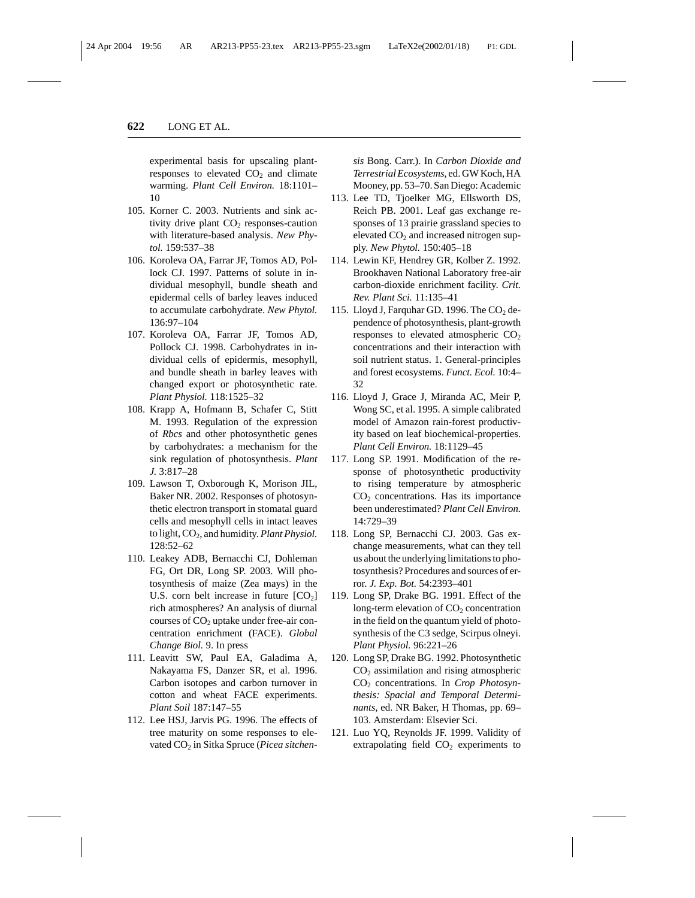experimental basis for upscaling plantresponses to elevated  $CO<sub>2</sub>$  and climate warming. *Plant Cell Environ.* 18:1101– 10

- 105. Korner C. 2003. Nutrients and sink activity drive plant  $CO<sub>2</sub>$  responses-caution with literature-based analysis. *New Phytol.* 159:537–38
- 106. Koroleva OA, Farrar JF, Tomos AD, Pollock CJ. 1997. Patterns of solute in individual mesophyll, bundle sheath and epidermal cells of barley leaves induced to accumulate carbohydrate. *New Phytol.* 136:97–104
- 107. Koroleva OA, Farrar JF, Tomos AD, Pollock CJ. 1998. Carbohydrates in individual cells of epidermis, mesophyll, and bundle sheath in barley leaves with changed export or photosynthetic rate. *Plant Physiol.* 118:1525–32
- 108. Krapp A, Hofmann B, Schafer C, Stitt M. 1993. Regulation of the expression of *Rbcs* and other photosynthetic genes by carbohydrates: a mechanism for the sink regulation of photosynthesis. *Plant J.* 3:817–28
- 109. Lawson T, Oxborough K, Morison JIL, Baker NR. 2002. Responses of photosynthetic electron transport in stomatal guard cells and mesophyll cells in intact leaves to light,  $CO<sub>2</sub>$ , and humidity. *Plant Physiol*. 128:52–62
- 110. Leakey ADB, Bernacchi CJ, Dohleman FG, Ort DR, Long SP. 2003. Will photosynthesis of maize (Zea mays) in the U.S. corn belt increase in future  $[CO<sub>2</sub>]$ rich atmospheres? An analysis of diurnal courses of  $CO<sub>2</sub>$  uptake under free-air concentration enrichment (FACE). *Global Change Biol.* 9. In press
- 111. Leavitt SW, Paul EA, Galadima A, Nakayama FS, Danzer SR, et al. 1996. Carbon isotopes and carbon turnover in cotton and wheat FACE experiments. *Plant Soil* 187:147–55
- 112. Lee HSJ, Jarvis PG. 1996. The effects of tree maturity on some responses to elevated CO<sub>2</sub> in Sitka Spruce (Picea sitchen-

*sis* Bong. Carr.). In *Carbon Dioxide and Terrestrial Ecosystems*, ed. GW Koch, HA Mooney, pp. 53–70. San Diego: Academic

- 113. Lee TD, Tjoelker MG, Ellsworth DS, Reich PB. 2001. Leaf gas exchange responses of 13 prairie grassland species to elevated  $CO<sub>2</sub>$  and increased nitrogen supply. *New Phytol.* 150:405–18
- 114. Lewin KF, Hendrey GR, Kolber Z. 1992. Brookhaven National Laboratory free-air carbon-dioxide enrichment facility. *Crit. Rev. Plant Sci.* 11:135–41
- 115. Lloyd J, Farquhar GD. 1996. The  $CO<sub>2</sub>$  dependence of photosynthesis, plant-growth responses to elevated atmospheric  $CO<sub>2</sub>$ concentrations and their interaction with soil nutrient status. 1. General-principles and forest ecosystems. *Funct. Ecol.* 10:4– 32
- 116. Lloyd J, Grace J, Miranda AC, Meir P, Wong SC, et al. 1995. A simple calibrated model of Amazon rain-forest productivity based on leaf biochemical-properties. *Plant Cell Environ.* 18:1129–45
- 117. Long SP. 1991. Modification of the response of photosynthetic productivity to rising temperature by atmospheric  $CO<sub>2</sub>$  concentrations. Has its importance been underestimated? *Plant Cell Environ.* 14:729–39
- 118. Long SP, Bernacchi CJ. 2003. Gas exchange measurements, what can they tell us about the underlying limitations to photosynthesis? Procedures and sources of error. *J. Exp. Bot.* 54:2393–401
- 119. Long SP, Drake BG. 1991. Effect of the long-term elevation of  $CO<sub>2</sub>$  concentration in the field on the quantum yield of photosynthesis of the C3 sedge, Scirpus olneyi. *Plant Physiol.* 96:221–26
- 120. Long SP, Drake BG. 1992. Photosynthetic  $CO<sub>2</sub>$  assimilation and rising atmospheric CO2 concentrations. In *Crop Photosynthesis: Spacial and Temporal Determinants*, ed. NR Baker, H Thomas, pp. 69– 103. Amsterdam: Elsevier Sci.
- 121. Luo YQ, Reynolds JF. 1999. Validity of extrapolating field  $CO<sub>2</sub>$  experiments to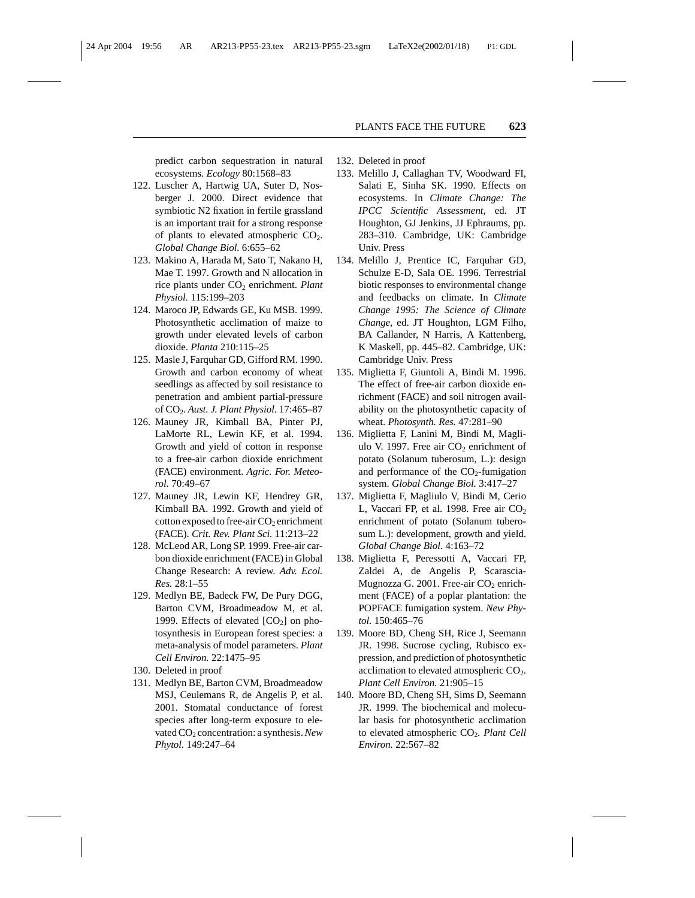predict carbon sequestration in natural ecosystems. *Ecology* 80:1568–83

- 122. Luscher A, Hartwig UA, Suter D, Nosberger J. 2000. Direct evidence that symbiotic N2 fixation in fertile grassland is an important trait for a strong response of plants to elevated atmospheric  $CO<sub>2</sub>$ . *Global Change Biol.* 6:655–62
- 123. Makino A, Harada M, Sato T, Nakano H, Mae T. 1997. Growth and N allocation in rice plants under CO2 enrichment. *Plant Physiol.* 115:199–203
- 124. Maroco JP, Edwards GE, Ku MSB. 1999. Photosynthetic acclimation of maize to growth under elevated levels of carbon dioxide. *Planta* 210:115–25
- 125. Masle J, Farquhar GD, Gifford RM. 1990. Growth and carbon economy of wheat seedlings as affected by soil resistance to penetration and ambient partial-pressure of CO2. *Aust. J. Plant Physiol.* 17:465–87
- 126. Mauney JR, Kimball BA, Pinter PJ, LaMorte RL, Lewin KF, et al. 1994. Growth and yield of cotton in response to a free-air carbon dioxide enrichment (FACE) environment. *Agric. For. Meteorol.* 70:49–67
- 127. Mauney JR, Lewin KF, Hendrey GR, Kimball BA. 1992. Growth and yield of cotton exposed to free-air  $CO<sub>2</sub>$  enrichment (FACE). *Crit. Rev. Plant Sci.* 11:213–22
- 128. McLeod AR, Long SP. 1999. Free-air carbon dioxide enrichment (FACE) in Global Change Research: A review. *Adv. Ecol. Res.* 28:1–55
- 129. Medlyn BE, Badeck FW, De Pury DGG, Barton CVM, Broadmeadow M, et al. 1999. Effects of elevated  $[CO<sub>2</sub>]$  on photosynthesis in European forest species: a meta-analysis of model parameters. *Plant Cell Environ.* 22:1475–95
- 130. Deleted in proof
- 131. Medlyn BE, Barton CVM, Broadmeadow MSJ, Ceulemans R, de Angelis P, et al. 2001. Stomatal conductance of forest species after long-term exposure to elevated CO2 concentration: a synthesis.*New Phytol.* 149:247–64
- 132. Deleted in proof
- 133. Melillo J, Callaghan TV, Woodward FI, Salati E, Sinha SK. 1990. Effects on ecosystems. In *Climate Change: The IPCC Scientific Assessment*, ed. JT Houghton, GJ Jenkins, JJ Ephraums, pp. 283–310. Cambridge, UK: Cambridge Univ. Press
- 134. Melillo J, Prentice IC, Farquhar GD, Schulze E-D, Sala OE. 1996. Terrestrial biotic responses to environmental change and feedbacks on climate. In *Climate Change 1995: The Science of Climate Change*, ed. JT Houghton, LGM Filho, BA Callander, N Harris, A Kattenberg, K Maskell, pp. 445–82. Cambridge, UK: Cambridge Univ. Press
- 135. Miglietta F, Giuntoli A, Bindi M. 1996. The effect of free-air carbon dioxide enrichment (FACE) and soil nitrogen availability on the photosynthetic capacity of wheat. *Photosynth. Res.* 47:281–90
- 136. Miglietta F, Lanini M, Bindi M, Magliulo V. 1997. Free air  $CO<sub>2</sub>$  enrichment of potato (Solanum tuberosum, L.): design and performance of the  $CO<sub>2</sub>$ -fumigation system. *Global Change Biol.* 3:417–27
- 137. Miglietta F, Magliulo V, Bindi M, Cerio L, Vaccari FP, et al. 1998. Free air  $CO<sub>2</sub>$ enrichment of potato (Solanum tuberosum L.): development, growth and yield. *Global Change Biol.* 4:163–72
- 138. Miglietta F, Peressotti A, Vaccari FP, Zaldei A, de Angelis P, Scarascia-Mugnozza G. 2001. Free-air  $CO<sub>2</sub>$  enrichment (FACE) of a poplar plantation: the POPFACE fumigation system. *New Phytol.* 150:465–76
- 139. Moore BD, Cheng SH, Rice J, Seemann JR. 1998. Sucrose cycling, Rubisco expression, and prediction of photosynthetic acclimation to elevated atmospheric  $CO<sub>2</sub>$ . *Plant Cell Environ.* 21:905–15
- 140. Moore BD, Cheng SH, Sims D, Seemann JR. 1999. The biochemical and molecular basis for photosynthetic acclimation to elevated atmospheric CO<sub>2</sub>. *Plant Cell Environ.* 22:567–82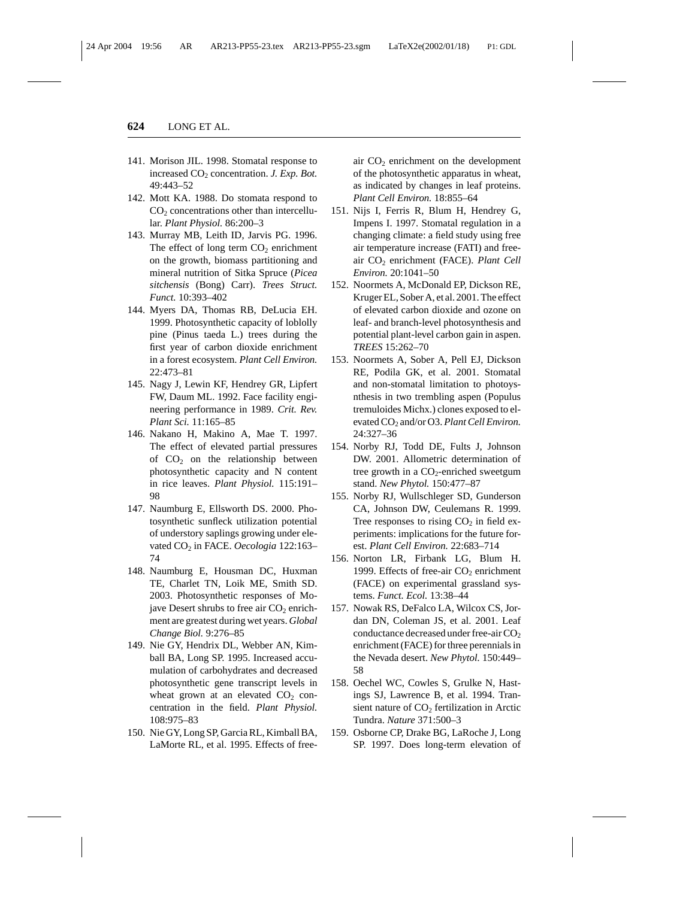- 141. Morison JIL. 1998. Stomatal response to increased CO<sub>2</sub> concentration. *J. Exp. Bot.* 49:443–52
- 142. Mott KA. 1988. Do stomata respond to  $CO<sub>2</sub>$  concentrations other than intercellular. *Plant Physiol.* 86:200–3
- 143. Murray MB, Leith ID, Jarvis PG. 1996. The effect of long term  $CO<sub>2</sub>$  enrichment on the growth, biomass partitioning and mineral nutrition of Sitka Spruce (*Picea sitchensis* (Bong) Carr). *Trees Struct. Funct.* 10:393–402
- 144. Myers DA, Thomas RB, DeLucia EH. 1999. Photosynthetic capacity of loblolly pine (Pinus taeda L.) trees during the first year of carbon dioxide enrichment in a forest ecosystem. *Plant Cell Environ.* 22:473–81
- 145. Nagy J, Lewin KF, Hendrey GR, Lipfert FW, Daum ML. 1992. Face facility engineering performance in 1989. *Crit. Rev. Plant Sci.* 11:165–85
- 146. Nakano H, Makino A, Mae T. 1997. The effect of elevated partial pressures of  $CO<sub>2</sub>$  on the relationship between photosynthetic capacity and N content in rice leaves. *Plant Physiol.* 115:191– 98
- 147. Naumburg E, Ellsworth DS. 2000. Photosynthetic sunfleck utilization potential of understory saplings growing under elevated CO<sub>2</sub> in FACE. Oecologia 122:163-74
- 148. Naumburg E, Housman DC, Huxman TE, Charlet TN, Loik ME, Smith SD. 2003. Photosynthetic responses of Mojave Desert shrubs to free air  $CO<sub>2</sub>$  enrichment are greatest during wet years. *Global Change Biol.* 9:276–85
- 149. Nie GY, Hendrix DL, Webber AN, Kimball BA, Long SP. 1995. Increased accumulation of carbohydrates and decreased photosynthetic gene transcript levels in wheat grown at an elevated  $CO<sub>2</sub>$  concentration in the field. *Plant Physiol.* 108:975–83
- 150. Nie GY, Long SP, Garcia RL, Kimball BA, LaMorte RL, et al. 1995. Effects of free-

air  $CO<sub>2</sub>$  enrichment on the development of the photosynthetic apparatus in wheat, as indicated by changes in leaf proteins. *Plant Cell Environ.* 18:855–64

- 151. Nijs I, Ferris R, Blum H, Hendrey G, Impens I. 1997. Stomatal regulation in a changing climate: a field study using free air temperature increase (FATI) and freeair CO2 enrichment (FACE). *Plant Cell Environ.* 20:1041–50
- 152. Noormets A, McDonald EP, Dickson RE, Kruger EL, Sober A, et al. 2001. The effect of elevated carbon dioxide and ozone on leaf- and branch-level photosynthesis and potential plant-level carbon gain in aspen. *TREES* 15:262–70
- 153. Noormets A, Sober A, Pell EJ, Dickson RE, Podila GK, et al. 2001. Stomatal and non-stomatal limitation to photoysnthesis in two trembling aspen (Populus tremuloides Michx.) clones exposed to elevated CO<sub>2</sub> and/or O3. *Plant Cell Environ.* 24:327–36
- 154. Norby RJ, Todd DE, Fults J, Johnson DW. 2001. Allometric determination of tree growth in a  $CO<sub>2</sub>$ -enriched sweetgum stand. *New Phytol.* 150:477–87
- 155. Norby RJ, Wullschleger SD, Gunderson CA, Johnson DW, Ceulemans R. 1999. Tree responses to rising  $CO<sub>2</sub>$  in field experiments: implications for the future forest. *Plant Cell Environ.* 22:683–714
- 156. Norton LR, Firbank LG, Blum H. 1999. Effects of free-air  $CO<sub>2</sub>$  enrichment (FACE) on experimental grassland systems. *Funct. Ecol.* 13:38–44
- 157. Nowak RS, DeFalco LA, Wilcox CS, Jordan DN, Coleman JS, et al. 2001. Leaf conductance decreased under free-air  $CO<sub>2</sub>$ enrichment (FACE) for three perennials in the Nevada desert. *New Phytol.* 150:449– 58
- 158. Oechel WC, Cowles S, Grulke N, Hastings SJ, Lawrence B, et al. 1994. Transient nature of  $CO<sub>2</sub>$  fertilization in Arctic Tundra. *Nature* 371:500–3
- 159. Osborne CP, Drake BG, LaRoche J, Long SP. 1997. Does long-term elevation of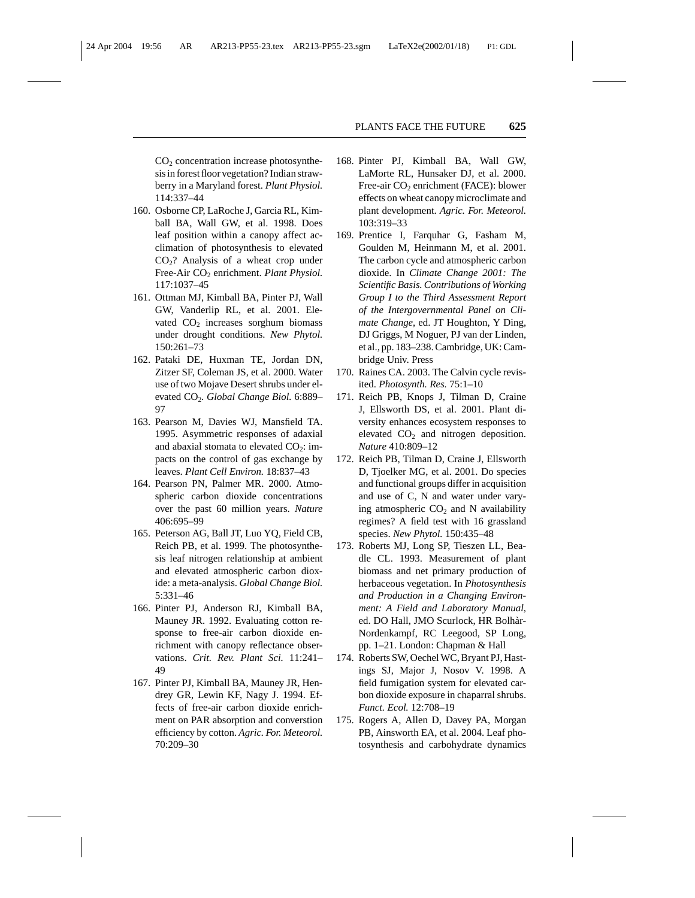CO2 concentration increase photosynthesis in forest floor vegetation? Indian strawberry in a Maryland forest. *Plant Physiol.* 114:337–44

- 160. Osborne CP, LaRoche J, Garcia RL, Kimball BA, Wall GW, et al. 1998. Does leaf position within a canopy affect acclimation of photosynthesis to elevated CO2? Analysis of a wheat crop under Free-Air CO<sub>2</sub> enrichment. *Plant Physiol.* 117:1037–45
- 161. Ottman MJ, Kimball BA, Pinter PJ, Wall GW, Vanderlip RL, et al. 2001. Elevated  $CO<sub>2</sub>$  increases sorghum biomass under drought conditions. *New Phytol.* 150:261–73
- 162. Pataki DE, Huxman TE, Jordan DN, Zitzer SF, Coleman JS, et al. 2000. Water use of two Mojave Desert shrubs under elevated CO2. *Global Change Biol.* 6:889– 97
- 163. Pearson M, Davies WJ, Mansfield TA. 1995. Asymmetric responses of adaxial and abaxial stomata to elevated  $CO<sub>2</sub>$ : impacts on the control of gas exchange by leaves. *Plant Cell Environ.* 18:837–43
- 164. Pearson PN, Palmer MR. 2000. Atmospheric carbon dioxide concentrations over the past 60 million years. *Nature* 406:695–99
- 165. Peterson AG, Ball JT, Luo YQ, Field CB, Reich PB, et al. 1999. The photosynthesis leaf nitrogen relationship at ambient and elevated atmospheric carbon dioxide: a meta-analysis. *Global Change Biol.* 5:331–46
- 166. Pinter PJ, Anderson RJ, Kimball BA, Mauney JR. 1992. Evaluating cotton response to free-air carbon dioxide enrichment with canopy reflectance observations. *Crit. Rev. Plant Sci.* 11:241– 49
- 167. Pinter PJ, Kimball BA, Mauney JR, Hendrey GR, Lewin KF, Nagy J. 1994. Effects of free-air carbon dioxide enrichment on PAR absorption and converstion efficiency by cotton. *Agric. For. Meteorol.* 70:209–30
- 168. Pinter PJ, Kimball BA, Wall GW, LaMorte RL, Hunsaker DJ, et al. 2000. Free-air  $CO<sub>2</sub>$  enrichment (FACE): blower effects on wheat canopy microclimate and plant development. *Agric. For. Meteorol.* 103:319–33
- 169. Prentice I, Farquhar G, Fasham M, Goulden M, Heinmann M, et al. 2001. The carbon cycle and atmospheric carbon dioxide. In *Climate Change 2001: The Scientific Basis. Contributions of Working Group I to the Third Assessment Report of the Intergovernmental Panel on Climate Change*, ed. JT Houghton, Y Ding, DJ Griggs, M Noguer, PJ van der Linden, et al., pp. 183–238. Cambridge, UK: Cambridge Univ. Press
- 170. Raines CA. 2003. The Calvin cycle revisited. *Photosynth. Res.* 75:1–10
- 171. Reich PB, Knops J, Tilman D, Craine J, Ellsworth DS, et al. 2001. Plant diversity enhances ecosystem responses to elevated  $CO<sub>2</sub>$  and nitrogen deposition. *Nature* 410:809–12
- 172. Reich PB, Tilman D, Craine J, Ellsworth D, Tjoelker MG, et al. 2001. Do species and functional groups differ in acquisition and use of C, N and water under varying atmospheric  $CO<sub>2</sub>$  and N availability regimes? A field test with 16 grassland species. *New Phytol.* 150:435–48
- 173. Roberts MJ, Long SP, Tieszen LL, Beadle CL. 1993. Measurement of plant biomass and net primary production of herbaceous vegetation. In *Photosynthesis and Production in a Changing Environment: A Field and Laboratory Manual*, ed. DO Hall, JMO Scurlock, HR Bolhàr-Nordenkampf, RC Leegood, SP Long, pp. 1–21. London: Chapman & Hall
- 174. Roberts SW, Oechel WC, Bryant PJ, Hastings SJ, Major J, Nosov V. 1998. A field fumigation system for elevated carbon dioxide exposure in chaparral shrubs. *Funct. Ecol.* 12:708–19
- 175. Rogers A, Allen D, Davey PA, Morgan PB, Ainsworth EA, et al. 2004. Leaf photosynthesis and carbohydrate dynamics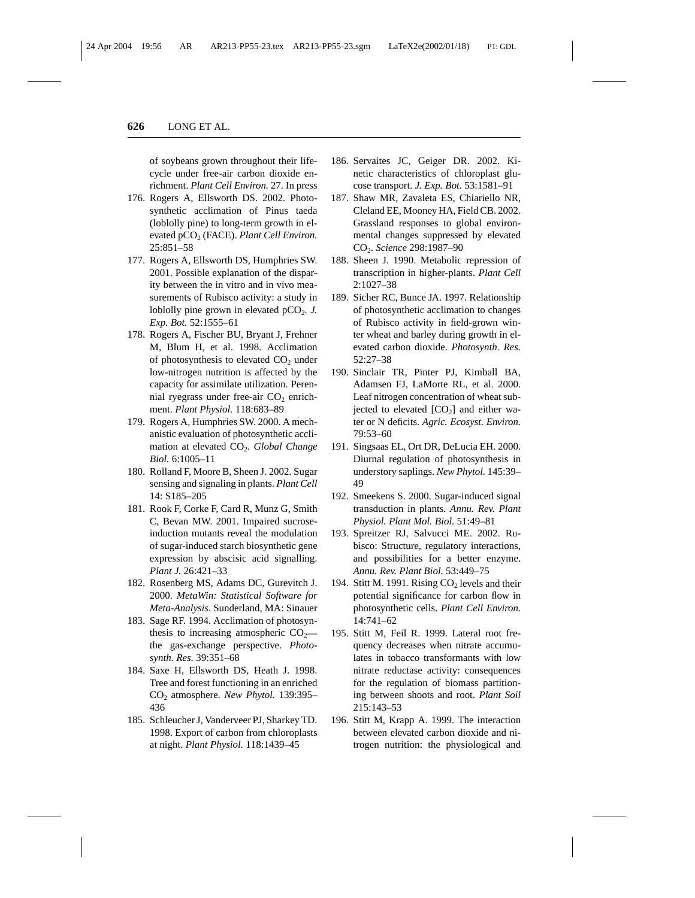of soybeans grown throughout their lifecycle under free-air carbon dioxide enrichment. *Plant Cell Environ.* 27. In press

- 176. Rogers A, Ellsworth DS. 2002. Photosynthetic acclimation of Pinus taeda (loblolly pine) to long-term growth in elevated pCO<sub>2</sub> (FACE). *Plant Cell Environ*. 25:851–58
- 177. Rogers A, Ellsworth DS, Humphries SW. 2001. Possible explanation of the disparity between the in vitro and in vivo measurements of Rubisco activity: a study in loblolly pine grown in elevated  $pCO<sub>2</sub>$ . *J. Exp. Bot.* 52:1555–61
- 178. Rogers A, Fischer BU, Bryant J, Frehner M, Blum H, et al. 1998. Acclimation of photosynthesis to elevated  $CO<sub>2</sub>$  under low-nitrogen nutrition is affected by the capacity for assimilate utilization. Perennial ryegrass under free-air  $CO<sub>2</sub>$  enrichment. *Plant Physiol.* 118:683–89
- 179. Rogers A, Humphries SW. 2000. A mechanistic evaluation of photosynthetic acclimation at elevated CO<sub>2</sub>. *Global Change Biol.* 6:1005–11
- 180. Rolland F, Moore B, Sheen J. 2002. Sugar sensing and signaling in plants. *Plant Cell* 14: S185–205
- 181. Rook F, Corke F, Card R, Munz G, Smith C, Bevan MW. 2001. Impaired sucroseinduction mutants reveal the modulation of sugar-induced starch biosynthetic gene expression by abscisic acid signalling. *Plant J.* 26:421–33
- 182. Rosenberg MS, Adams DC, Gurevitch J. 2000. *MetaWin: Statistical Software for Meta-Analysis*. Sunderland, MA: Sinauer
- 183. Sage RF. 1994. Acclimation of photosynthesis to increasing atmospheric  $CO<sub>2</sub>$  the gas-exchange perspective. *Photosynth. Res.* 39:351–68
- 184. Saxe H, Ellsworth DS, Heath J. 1998. Tree and forest functioning in an enriched CO2 atmosphere. *New Phytol.* 139:395– 436
- 185. Schleucher J, Vanderveer PJ, Sharkey TD. 1998. Export of carbon from chloroplasts at night. *Plant Physiol.* 118:1439–45
- 186. Servaites JC, Geiger DR. 2002. Kinetic characteristics of chloroplast glucose transport. *J. Exp. Bot.* 53:1581–91
- 187. Shaw MR, Zavaleta ES, Chiariello NR, Cleland EE, Mooney HA, Field CB. 2002. Grassland responses to global environmental changes suppressed by elevated CO2. *Science* 298:1987–90
- 188. Sheen J. 1990. Metabolic repression of transcription in higher-plants. *Plant Cell* 2:1027–38
- 189. Sicher RC, Bunce JA. 1997. Relationship of photosynthetic acclimation to changes of Rubisco activity in field-grown winter wheat and barley during growth in elevated carbon dioxide. *Photosynth. Res.* 52:27–38
- 190. Sinclair TR, Pinter PJ, Kimball BA, Adamsen FJ, LaMorte RL, et al. 2000. Leaf nitrogen concentration of wheat subjected to elevated  $[CO<sub>2</sub>]$  and either water or N deficits. *Agric. Ecosyst. Environ.* 79:53–60
- 191. Singsaas EL, Ort DR, DeLucia EH. 2000. Diurnal regulation of photosynthesis in understory saplings. *New Phytol.* 145:39– 49
- 192. Smeekens S. 2000. Sugar-induced signal transduction in plants. *Annu. Rev. Plant Physiol. Plant Mol. Biol.* 51:49–81
- 193. Spreitzer RJ, Salvucci ME. 2002. Rubisco: Structure, regulatory interactions, and possibilities for a better enzyme. *Annu. Rev. Plant Biol.* 53:449–75
- 194. Stitt M. 1991. Rising  $CO<sub>2</sub>$  levels and their potential significance for carbon flow in photosynthetic cells. *Plant Cell Environ.* 14:741–62
- 195. Stitt M, Feil R. 1999. Lateral root frequency decreases when nitrate accumulates in tobacco transformants with low nitrate reductase activity: consequences for the regulation of biomass partitioning between shoots and root. *Plant Soil* 215:143–53
- 196. Stitt M, Krapp A. 1999. The interaction between elevated carbon dioxide and nitrogen nutrition: the physiological and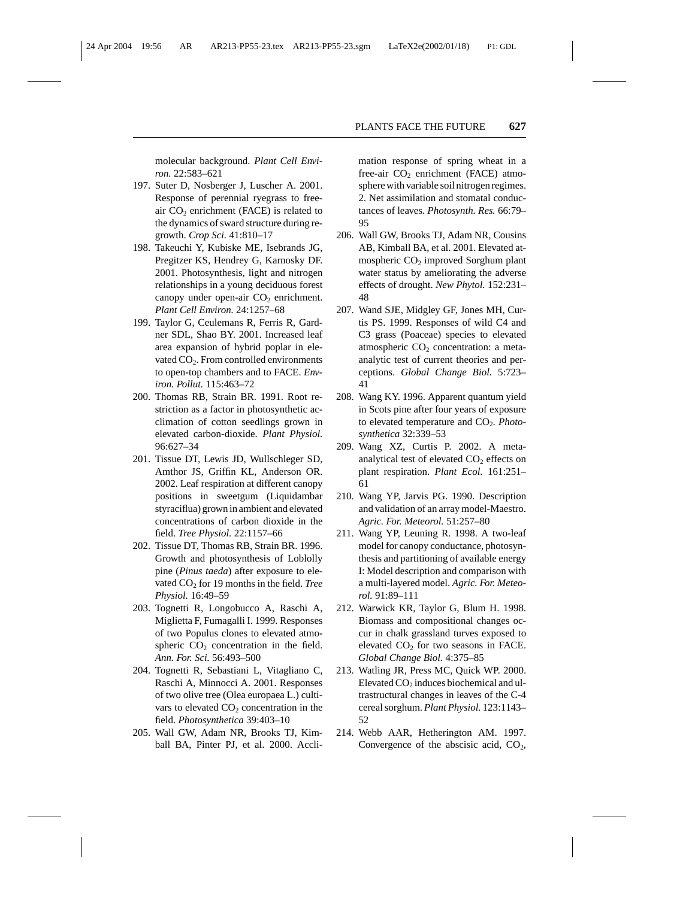molecular background. *Plant Cell Environ.* 22:583–621

- 197. Suter D, Nosberger J, Luscher A. 2001. Response of perennial ryegrass to freeair  $CO<sub>2</sub>$  enrichment (FACE) is related to the dynamics of sward structure during regrowth. *Crop Sci.* 41:810–17
- 198. Takeuchi Y, Kubiske ME, Isebrands JG, Pregitzer KS, Hendrey G, Karnosky DF. 2001. Photosynthesis, light and nitrogen relationships in a young deciduous forest canopy under open-air  $CO<sub>2</sub>$  enrichment. *Plant Cell Environ.* 24:1257–68
- 199. Taylor G, Ceulemans R, Ferris R, Gardner SDL, Shao BY. 2001. Increased leaf area expansion of hybrid poplar in elevated  $CO<sub>2</sub>$ . From controlled environments to open-top chambers and to FACE. *Environ. Pollut.* 115:463–72
- 200. Thomas RB, Strain BR. 1991. Root restriction as a factor in photosynthetic acclimation of cotton seedlings grown in elevated carbon-dioxide. *Plant Physiol.* 96:627–34
- 201. Tissue DT, Lewis JD, Wullschleger SD, Amthor JS, Griffin KL, Anderson OR. 2002. Leaf respiration at different canopy positions in sweetgum (Liquidambar styraciflua) grown in ambient and elevated concentrations of carbon dioxide in the field. *Tree Physiol.* 22:1157–66
- 202. Tissue DT, Thomas RB, Strain BR. 1996. Growth and photosynthesis of Loblolly pine (*Pinus taeda*) after exposure to elevated CO<sub>2</sub> for 19 months in the field. *Tree Physiol.* 16:49–59
- 203. Tognetti R, Longobucco A, Raschi A, Miglietta F, Fumagalli I. 1999. Responses of two Populus clones to elevated atmospheric  $CO<sub>2</sub>$  concentration in the field. *Ann. For. Sci.* 56:493–500
- 204. Tognetti R, Sebastiani L, Vitagliano C, Raschi A, Minnocci A. 2001. Responses of two olive tree (Olea europaea L.) cultivars to elevated  $CO<sub>2</sub>$  concentration in the field. *Photosynthetica* 39:403–10
- 205. Wall GW, Adam NR, Brooks TJ, Kimball BA, Pinter PJ, et al. 2000. Accli-

mation response of spring wheat in a free-air  $CO<sub>2</sub>$  enrichment (FACE) atmosphere with variable soil nitrogen regimes. 2. Net assimilation and stomatal conductances of leaves. *Photosynth. Res.* 66:79– 95

- 206. Wall GW, Brooks TJ, Adam NR, Cousins AB, Kimball BA, et al. 2001. Elevated atmospheric CO<sub>2</sub> improved Sorghum plant water status by ameliorating the adverse effects of drought. *New Phytol.* 152:231– 48
- 207. Wand SJE, Midgley GF, Jones MH, Curtis PS. 1999. Responses of wild C4 and C3 grass (Poaceae) species to elevated atmospheric  $CO<sub>2</sub>$  concentration: a metaanalytic test of current theories and perceptions. *Global Change Biol.* 5:723– 41
- 208. Wang KY. 1996. Apparent quantum yield in Scots pine after four years of exposure to elevated temperature and CO<sub>2</sub>. *Photosynthetica* 32:339–53
- 209. Wang XZ, Curtis P. 2002. A metaanalytical test of elevated  $CO<sub>2</sub>$  effects on plant respiration. *Plant Ecol.* 161:251– 61
- 210. Wang YP, Jarvis PG. 1990. Description and validation of an array model-Maestro. *Agric. For. Meteorol.* 51:257–80
- 211. Wang YP, Leuning R. 1998. A two-leaf model for canopy conductance, photosynthesis and partitioning of available energy I: Model description and comparison with a multi-layered model. *Agric. For. Meteorol.* 91:89–111
- 212. Warwick KR, Taylor G, Blum H. 1998. Biomass and compositional changes occur in chalk grassland turves exposed to elevated  $CO<sub>2</sub>$  for two seasons in FACE. *Global Change Biol.* 4:375–85
- 213. Watling JR, Press MC, Quick WP. 2000. Elevated  $CO<sub>2</sub>$  induces biochemical and ultrastructural changes in leaves of the C-4 cereal sorghum. *Plant Physiol.* 123:1143– 52
- 214. Webb AAR, Hetherington AM. 1997. Convergence of the abscisic acid,  $CO<sub>2</sub>$ ,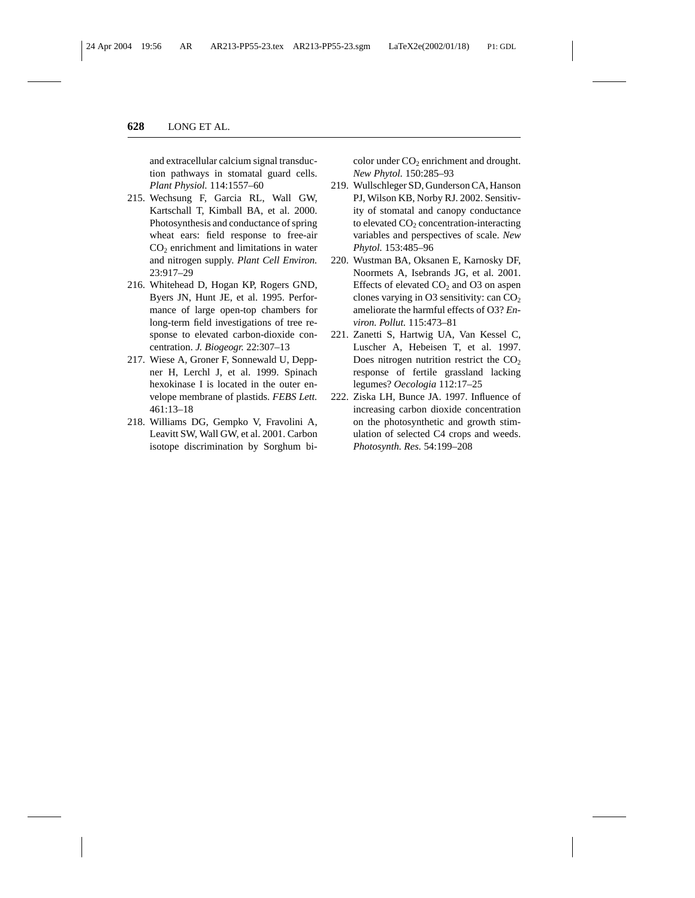and extracellular calcium signal transduction pathways in stomatal guard cells. *Plant Physiol.* 114:1557–60

- 215. Wechsung F, Garcia RL, Wall GW, Kartschall T, Kimball BA, et al. 2000. Photosynthesis and conductance of spring wheat ears: field response to free-air  $CO<sub>2</sub>$  enrichment and limitations in water and nitrogen supply. *Plant Cell Environ.* 23:917–29
- 216. Whitehead D, Hogan KP, Rogers GND, Byers JN, Hunt JE, et al. 1995. Performance of large open-top chambers for long-term field investigations of tree response to elevated carbon-dioxide concentration. *J. Biogeogr.* 22:307–13
- 217. Wiese A, Groner F, Sonnewald U, Deppner H, Lerchl J, et al. 1999. Spinach hexokinase I is located in the outer envelope membrane of plastids. *FEBS Lett.* 461:13–18
- 218. Williams DG, Gempko V, Fravolini A, Leavitt SW, Wall GW, et al. 2001. Carbon isotope discrimination by Sorghum bi-

color under CO<sub>2</sub> enrichment and drought. *New Phytol.* 150:285–93

- 219. Wullschleger SD, Gunderson CA, Hanson PJ, Wilson KB, Norby RJ. 2002. Sensitivity of stomatal and canopy conductance to elevated  $CO<sub>2</sub>$  concentration-interacting variables and perspectives of scale. *New Phytol.* 153:485–96
- 220. Wustman BA, Oksanen E, Karnosky DF, Noormets A, Isebrands JG, et al. 2001. Effects of elevated  $CO<sub>2</sub>$  and O3 on aspen clones varying in O3 sensitivity: can  $CO<sub>2</sub>$ ameliorate the harmful effects of O3? *Environ. Pollut.* 115:473–81
- 221. Zanetti S, Hartwig UA, Van Kessel C, Luscher A, Hebeisen T, et al. 1997. Does nitrogen nutrition restrict the  $CO<sub>2</sub>$ response of fertile grassland lacking legumes? *Oecologia* 112:17–25
- 222. Ziska LH, Bunce JA. 1997. Influence of increasing carbon dioxide concentration on the photosynthetic and growth stimulation of selected C4 crops and weeds. *Photosynth. Res.* 54:199–208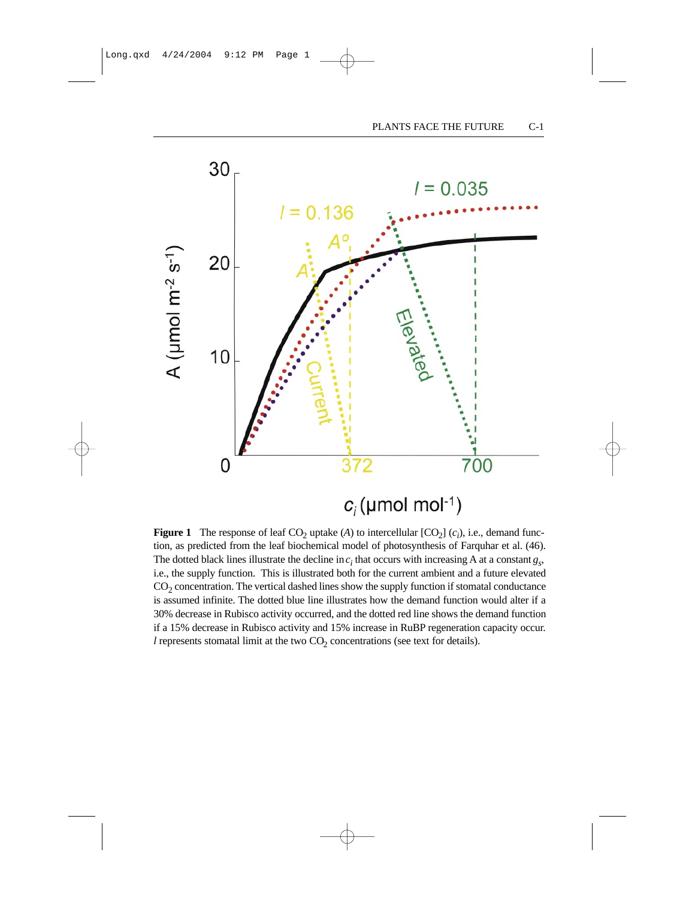

# $c_i$ (µmol mol-1)

**Figure 1** The response of leaf  $CO_2$  uptake (*A*) to intercellular  $[CO_2]$  (*c<sub>i</sub>*), i.e., demand function, as predicted from the leaf biochemical model of photosynthesis of Farquhar et al. (46). The dotted black lines illustrate the decline in  $c_i$  that occurs with increasing A at a constant  $g_s$ , i.e., the supply function. This is illustrated both for the current ambient and a future elevated  $CO<sub>2</sub>$  concentration. The vertical dashed lines show the supply function if stomatal conductance is assumed infinite. The dotted blue line illustrates how the demand function would alter if a 30% decrease in Rubisco activity occurred, and the dotted red line shows the demand function if a 15% decrease in Rubisco activity and 15% increase in RuBP regeneration capacity occur. *l* represents stomatal limit at the two  $CO<sub>2</sub>$  concentrations (see text for details).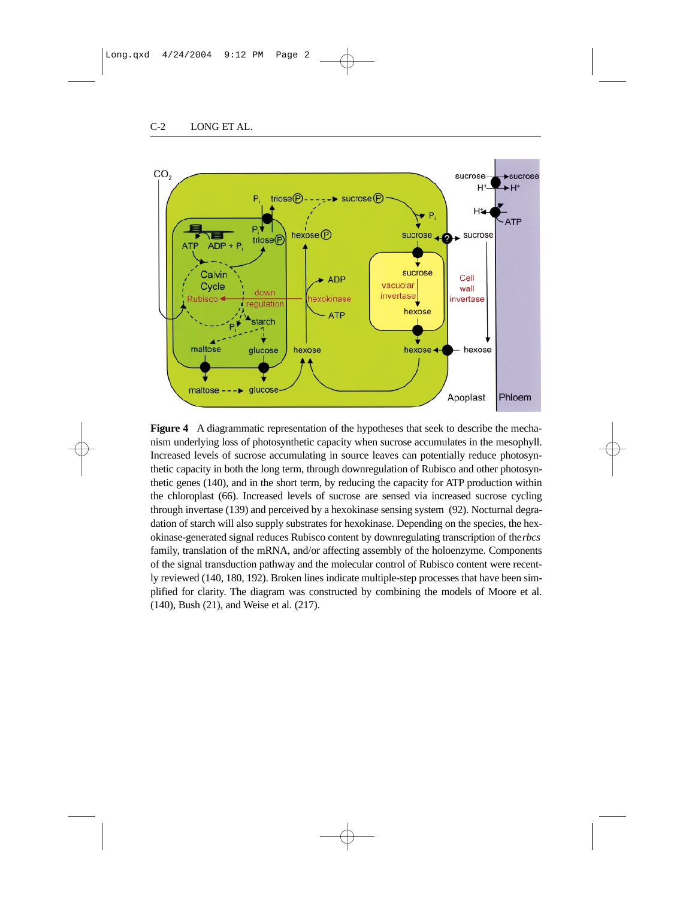

**Figure 4** A diagrammatic representation of the hypotheses that seek to describe the mechanism underlying loss of photosynthetic capacity when sucrose accumulates in the mesophyll. Increased levels of sucrose accumulating in source leaves can potentially reduce photosynthetic capacity in both the long term, through downregulation of Rubisco and other photosynthetic genes (140), and in the short term, by reducing the capacity for ATP production within the chloroplast (66). Increased levels of sucrose are sensed via increased sucrose cycling through invertase (139) and perceived by a hexokinase sensing system (92). Nocturnal degradation of starch will also supply substrates for hexokinase. Depending on the species, the hexokinase-generated signal reduces Rubisco content by downregulating transcription of the *rbcs* family, translation of the mRNA, and/or affecting assembly of the holoenzyme. Components of the signal transduction pathway and the molecular control of Rubisco content were recently reviewed (140, 180, 192). Broken lines indicate multiple-step processes that have been simplified for clarity. The diagram was constructed by combining the models of Moore et al. (140), Bush (21), and Weise et al. (217).